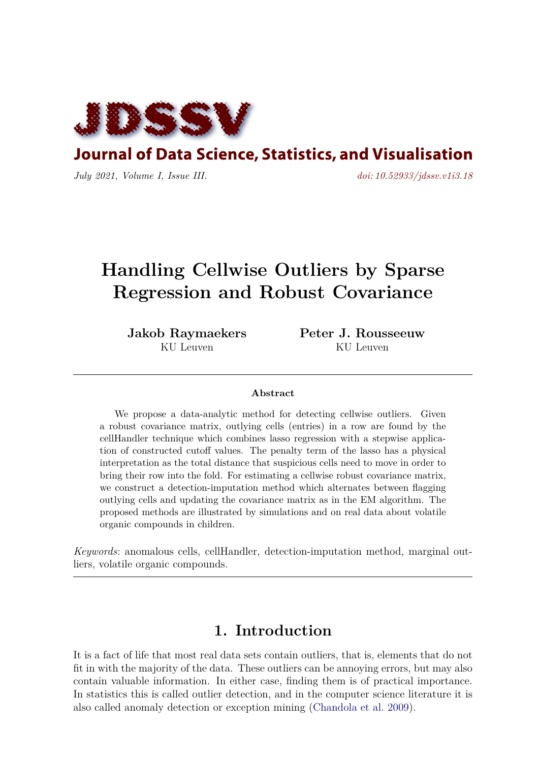

**Journal of Data Science, Statistics, and Visualisation** 

*July 2021, Volume I, Issue III. [doi: 10.52933/jdssv.v1i3.18](http://dx.doi.org/10.52933/jdssv.v1i3.18)*

# **Handling Cellwise Outliers by Sparse Regression and Robust Covariance**

**Jakob Raymaekers** KU Leuven

**Peter J. Rousseeuw** KU Leuven

#### **Abstract**

We propose a data-analytic method for detecting cellwise outliers. Given a robust covariance matrix, outlying cells (entries) in a row are found by the cellHandler technique which combines lasso regression with a stepwise application of constructed cutoff values. The penalty term of the lasso has a physical interpretation as the total distance that suspicious cells need to move in order to bring their row into the fold. For estimating a cellwise robust covariance matrix, we construct a detection-imputation method which alternates between flagging outlying cells and updating the covariance matrix as in the EM algorithm. The proposed methods are illustrated by simulations and on real data about volatile organic compounds in children.

*Keywords*: anomalous cells, cellHandler, detection-imputation method, marginal outliers, volatile organic compounds.

# **1. Introduction**

It is a fact of life that most real data sets contain outliers, that is, elements that do not fit in with the majority of the data. These outliers can be annoying errors, but may also contain valuable information. In either case, finding them is of practical importance. In statistics this is called outlier detection, and in the computer science literature it is also called anomaly detection or exception mining [\(Chandola et al.](#page-15-0) [2009\)](#page-15-0).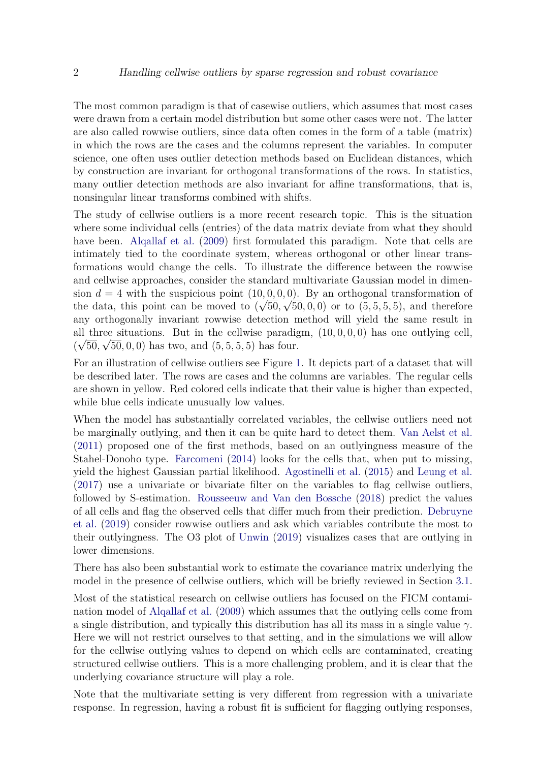The most common paradigm is that of casewise outliers, which assumes that most cases were drawn from a certain model distribution but some other cases were not. The latter are also called rowwise outliers, since data often comes in the form of a table (matrix) in which the rows are the cases and the columns represent the variables. In computer science, one often uses outlier detection methods based on Euclidean distances, which by construction are invariant for orthogonal transformations of the rows. In statistics, many outlier detection methods are also invariant for affine transformations, that is, nonsingular linear transforms combined with shifts.

The study of cellwise outliers is a more recent research topic. This is the situation where some individual cells (entries) of the data matrix deviate from what they should have been. [Alqallaf et al.](#page-15-1) [\(2009\)](#page-15-1) first formulated this paradigm. Note that cells are intimately tied to the coordinate system, whereas orthogonal or other linear transformations would change the cells. To illustrate the difference between the rowwise and cellwise approaches, consider the standard multivariate Gaussian model in dimension  $d = 4$  with the suspicious point  $(10, 0, 0, 0)$ . By an orthogonal transformation of the data, this point can be moved to  $(\sqrt{50}, \sqrt{50}, 0, 0)$  or to  $(5, 5, 5, 5)$ , and therefore any orthogonally invariant rowwise detection method will yield the same result in all three situations. But in the cellwise paradigm,  $(10, 0, 0, 0)$  has one outlying cell,  $(\sqrt{50}, \sqrt{50}, 0, 0)$  has two, and  $(5, 5, 5, 5)$  has four.

For an illustration of cellwise outliers see Figure [1.](#page-2-0) It depicts part of a dataset that will be described later. The rows are cases and the columns are variables. The regular cells are shown in yellow. Red colored cells indicate that their value is higher than expected, while blue cells indicate unusually low values.

When the model has substantially correlated variables, the cellwise outliers need not be marginally outlying, and then it can be quite hard to detect them. [Van Aelst et al.](#page-18-0) [\(2011\)](#page-18-0) proposed one of the first methods, based on an outlyingness measure of the Stahel-Donoho type. [Farcomeni](#page-16-0) [\(2014\)](#page-16-0) looks for the cells that, when put to missing, yield the highest Gaussian partial likelihood. [Agostinelli et al.](#page-15-2) [\(2015\)](#page-15-2) and [Leung et al.](#page-17-0) [\(2017\)](#page-17-0) use a univariate or bivariate filter on the variables to flag cellwise outliers, followed by S-estimation. [Rousseeuw and Van den Bossche](#page-17-1) [\(2018\)](#page-17-1) predict the values of all cells and flag the observed cells that differ much from their prediction. [Debruyne](#page-16-1) [et al.](#page-16-1) [\(2019\)](#page-16-1) consider rowwise outliers and ask which variables contribute the most to their outlyingness. The O3 plot of [Unwin](#page-17-2) [\(2019\)](#page-17-2) visualizes cases that are outlying in lower dimensions.

There has also been substantial work to estimate the covariance matrix underlying the model in the presence of cellwise outliers, which will be briefly reviewed in Section [3.1.](#page-8-0)

Most of the statistical research on cellwise outliers has focused on the FICM contamination model of [Alqallaf et al.](#page-15-1) [\(2009\)](#page-15-1) which assumes that the outlying cells come from a single distribution, and typically this distribution has all its mass in a single value *γ*. Here we will not restrict ourselves to that setting, and in the simulations we will allow for the cellwise outlying values to depend on which cells are contaminated, creating structured cellwise outliers. This is a more challenging problem, and it is clear that the underlying covariance structure will play a role.

Note that the multivariate setting is very different from regression with a univariate response. In regression, having a robust fit is sufficient for flagging outlying responses,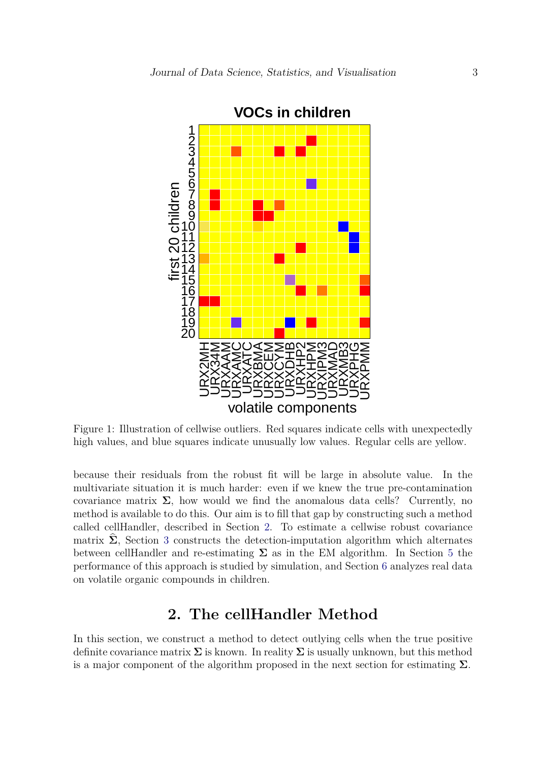<span id="page-2-0"></span>

Figure 1: Illustration of cellwise outliers. Red squares indicate cells with unexpectedly high values, and blue squares indicate unusually low values. Regular cells are yellow.

because their residuals from the robust fit will be large in absolute value. In the multivariate situation it is much harder: even if we knew the true pre-contamination covariance matrix  $\Sigma$ , how would we find the anomalous data cells? Currently, no method is available to do this. Our aim is to fill that gap by constructing such a method called cellHandler, described in Section [2.](#page-2-1) To estimate a cellwise robust covariance matrix  $\Sigma$ , Section [3](#page-8-1) constructs the detection-imputation algorithm which alternates between cellHandler and re-estimating  $\Sigma$  as in the EM algorithm. In Section [5](#page-11-0) the performance of this approach is studied by simulation, and Section [6](#page-13-0) analyzes real data on volatile organic compounds in children.

# **2. The cellHandler Method**

<span id="page-2-1"></span>In this section, we construct a method to detect outlying cells when the true positive definite covariance matrix  $\Sigma$  is known. In reality  $\Sigma$  is usually unknown, but this method is a major component of the algorithm proposed in the next section for estimating **Σ**.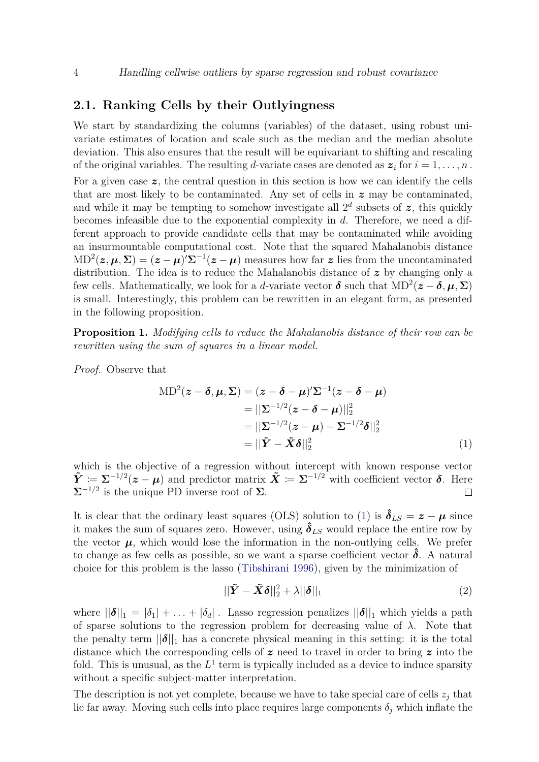#### <span id="page-3-2"></span>**2.1. Ranking Cells by their Outlyingness**

We start by standardizing the columns (variables) of the dataset, using robust univariate estimates of location and scale such as the median and the median absolute deviation. This also ensures that the result will be equivariant to shifting and rescaling of the original variables. The resulting *d*-variate cases are denoted as  $z_i$  for  $i = 1, \ldots, n$ . For a given case *z*, the central question in this section is how we can identify the cells that are most likely to be contaminated. Any set of cells in *z* may be contaminated, and while it may be tempting to somehow investigate all  $2^d$  subsets of  $z$ , this quickly becomes infeasible due to the exponential complexity in *d*. Therefore, we need a different approach to provide candidate cells that may be contaminated while avoiding an insurmountable computational cost. Note that the squared Mahalanobis distance  $MD^{2}(z, \mu, \Sigma) = (z - \mu)^{\prime} \Sigma^{-1}(z - \mu)$  measures how far z lies from the uncontaminated distribution. The idea is to reduce the Mahalanobis distance of *z* by changing only a few cells. Mathematically, we look for a *d*-variate vector  $\boldsymbol{\delta}$  such that  $MD^2(z - \boldsymbol{\delta}, \boldsymbol{\mu}, \boldsymbol{\Sigma})$ is small. Interestingly, this problem can be rewritten in an elegant form, as presented in the following proposition.

**Proposition 1.** *Modifying cells to reduce the Mahalanobis distance of their row can be rewritten using the sum of squares in a linear model.*

*Proof.* Observe that

$$
\begin{aligned} \text{MD}^2(z - \delta, \mu, \Sigma) &= (z - \delta - \mu)' \Sigma^{-1} (z - \delta - \mu) \\ &= ||\Sigma^{-1/2} (z - \delta - \mu)||_2^2 \\ &= ||\Sigma^{-1/2} (z - \mu) - \Sigma^{-1/2} \delta||_2^2 \\ &= ||\tilde{Y} - \tilde{X}\delta||_2^2 \end{aligned} \tag{1}
$$

which is the objective of a regression without intercept with known response vector  $\tilde{Y} \coloneqq \Sigma^{-1/2}(z - \mu)$  and predictor matrix  $\tilde{X} \coloneqq \Sigma^{-1/2}$  with coefficient vector  $\delta$ . Here  $\Sigma^{-1/2}$  is the unique PD inverse root of  $\Sigma$ .  $\Box$ 

It is clear that the ordinary least squares (OLS) solution to [\(1\)](#page-3-0) is  $\hat{\delta}_{LS} = z - \mu$  since it makes the sum of squares zero. However, using  $\hat{\delta}_{LS}$  would replace the entire row by the vector  $\mu$ , which would lose the information in the non-outlying cells. We prefer to change as few cells as possible, so we want a sparse coefficient vector  $\delta$ . A natural choice for this problem is the lasso [\(Tibshirani](#page-17-3) [1996\)](#page-17-3), given by the minimization of

<span id="page-3-1"></span><span id="page-3-0"></span>
$$
||\tilde{\boldsymbol{Y}} - \tilde{\boldsymbol{X}}\boldsymbol{\delta}||_2^2 + \lambda ||\boldsymbol{\delta}||_1
$$
\n(2)

where  $||\boldsymbol{\delta}||_1 = |\delta_1| + \ldots + |\delta_d|$ . Lasso regression penalizes  $||\boldsymbol{\delta}||_1$  which yields a path of sparse solutions to the regression problem for decreasing value of  $\lambda$ . Note that the penalty term  $||\boldsymbol{\delta}||_1$  has a concrete physical meaning in this setting: it is the total distance which the corresponding cells of *z* need to travel in order to bring *z* into the fold. This is unusual, as the  $L^1$  term is typically included as a device to induce sparsity without a specific subject-matter interpretation.

The description is not yet complete, because we have to take special care of cells  $z_j$  that lie far away. Moving such cells into place requires large components  $\delta_j$  which inflate the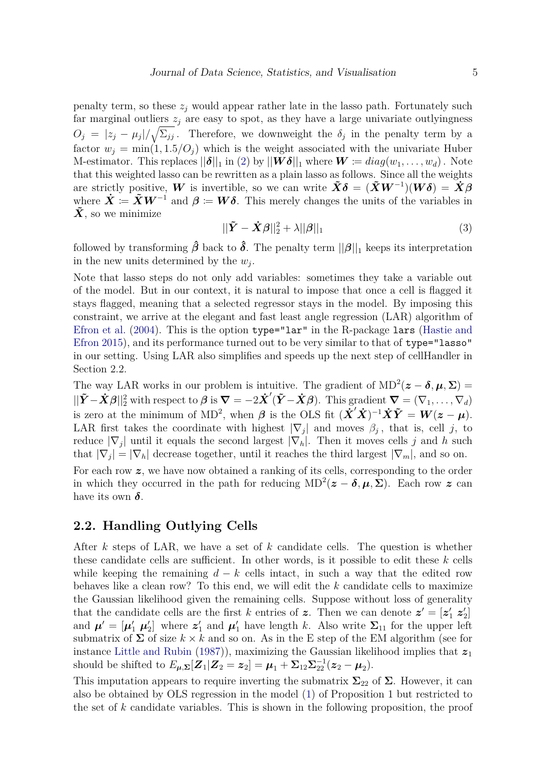penalty term, so these  $z_j$  would appear rather late in the lasso path. Fortunately such far marginal outliers  $z_j$  are easy to spot, as they have a large univariate outlyingness  $O_j = |z_j - \mu_j| / \sqrt{\Sigma_{jj}}$ . Therefore, we downweight the  $\delta_j$  in the penalty term by a factor  $w_j = \min(1, 1.5/O_j)$  which is the weight associated with the univariate Huber M-estimator. This replaces  $||\boldsymbol{\delta}||_1$  in [\(2\)](#page-3-1) by  $||\boldsymbol{W}\boldsymbol{\delta}||_1$  where  $\boldsymbol{W} \coloneqq diag(w_1, \ldots, w_d)$ . Note that this weighted lasso can be rewritten as a plain lasso as follows. Since all the weights are strictly positive, *W* is invertible, so we can write  $\tilde{\mathbf{X}}\boldsymbol{\delta} = (\tilde{\mathbf{X}}\mathbf{W}^{-1})(\mathbf{W}\boldsymbol{\delta}) = \dot{\mathbf{X}}\boldsymbol{\beta}$ where  $\dot{X} = \tilde{X}W^{-1}$  and  $\beta = W\delta$ . This merely changes the units of the variables in  $\tilde{\mathbf{X}}$ , so we minimize

$$
||\tilde{\boldsymbol{Y}} - \dot{\boldsymbol{X}}\boldsymbol{\beta}||_2^2 + \lambda ||\boldsymbol{\beta}||_1
$$
\n(3)

followed by transforming  $\hat{\beta}$  back to  $\hat{\delta}$ . The penalty term  $||\beta||_1$  keeps its interpretation in the new units determined by the *w<sup>j</sup>* .

Note that lasso steps do not only add variables: sometimes they take a variable out of the model. But in our context, it is natural to impose that once a cell is flagged it stays flagged, meaning that a selected regressor stays in the model. By imposing this constraint, we arrive at the elegant and fast least angle regression (LAR) algorithm of [Efron et al.](#page-16-2) [\(2004\)](#page-16-2). This is the option type="lar" in the R-package lars [\(Hastie and](#page-16-3) [Efron](#page-16-3) [2015\)](#page-16-3), and its performance turned out to be very similar to that of type="lasso" in our setting. Using LAR also simplifies and speeds up the next step of cellHandler in Section 2.2.

The way LAR works in our problem is intuitive. The gradient of  $MD^2(z - \delta, \mu, \Sigma)$  $||\tilde{\boldsymbol{Y}} - \dot{\boldsymbol{X}}\boldsymbol{\beta}||_2^2$  with respect to  $\boldsymbol{\beta}$  is  $\boldsymbol{\nabla} = -2\dot{\boldsymbol{X}}'(\tilde{\boldsymbol{Y}} - \dot{\boldsymbol{X}}\boldsymbol{\beta})$ . This gradient  $\boldsymbol{\nabla} = (\nabla_1, \dots, \nabla_d)$ is zero at the minimum of MD<sup>2</sup>, when  $\beta$  is the OLS fit  $(\tilde{\mathbf{X}}'\tilde{\mathbf{X}})^{-1}\tilde{\mathbf{X}}\tilde{\mathbf{Y}} = \mathbf{W}(\mathbf{z} - \boldsymbol{\mu})$ . LAR first takes the coordinate with highest  $|\nabla_j|$  and moves  $\beta_j$ , that is, cell *j*, to reduce  $|\nabla_j|$  until it equals the second largest  $|\nabla_h|$ . Then it moves cells *j* and *h* such that  $|\nabla_j| = |\nabla_h|$  decrease together, until it reaches the third largest  $|\nabla_m|$ , and so on.

For each row *z*, we have now obtained a ranking of its cells, corresponding to the order in which they occurred in the path for reducing  $MD^2(z - \delta, \mu, \Sigma)$ . Each row *z* can have its own  $\delta$ .

### **2.2. Handling Outlying Cells**

After *k* steps of LAR, we have a set of *k* candidate cells. The question is whether these candidate cells are sufficient. In other words, is it possible to edit these *k* cells while keeping the remaining  $d - k$  cells intact, in such a way that the edited row behaves like a clean row? To this end, we will edit the *k* candidate cells to maximize the Gaussian likelihood given the remaining cells. Suppose without loss of generality that the candidate cells are the first *k* entries of **z**. Then we can denote  $\mathbf{z}' = [\mathbf{z}'_1 \ \mathbf{z}'_2]$ and  $\mu' = [\mu'_1 \ \mu'_2]$  where  $z'_1$  and  $\mu'_1$  have length *k*. Also write  $\Sigma_{11}$  for the upper left submatrix of  $\Sigma$  of size  $k \times k$  and so on. As in the E step of the EM algorithm (see for instance [Little and Rubin](#page-17-4) [\(1987\)](#page-17-4)), maximizing the Gaussian likelihood implies that  $z_1$ should be shifted to  $E_{\mu, \Sigma}[\mathbf{Z}_1 | \mathbf{Z}_2 = \mathbf{z}_2] = \mu_1 + \Sigma_{12} \Sigma_{22}^{-1} (\mathbf{z}_2 - \mu_2)$ .

This imputation appears to require inverting the submatrix  $\Sigma_{22}$  of  $\Sigma$ . However, it can also be obtained by OLS regression in the model [\(1\)](#page-3-0) of Proposition 1 but restricted to the set of *k* candidate variables. This is shown in the following proposition, the proof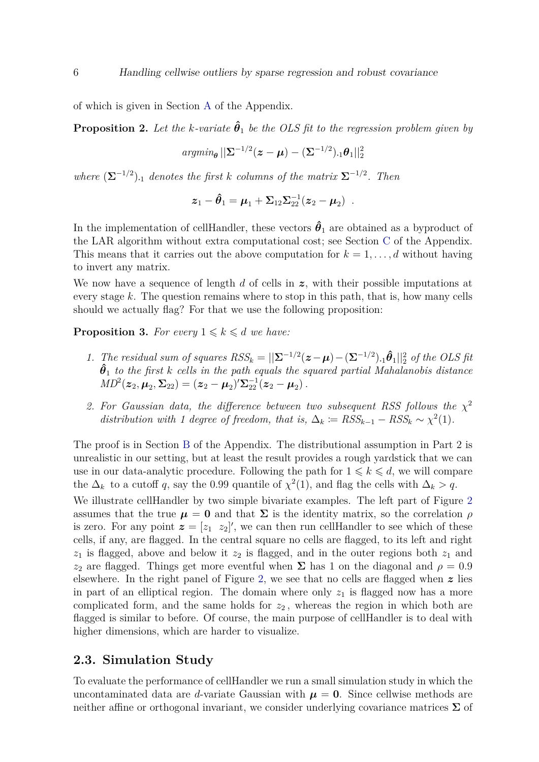of which is given in Section [A](#page-19-0) of the Appendix.

<span id="page-5-0"></span>**Proposition 2.** Let the *k*-variate  $\hat{\theta}_1$  be the OLS fit to the regression problem given by

$$
\textit{argmin}_{\boldsymbol{\theta}} \, ||\boldsymbol{\Sigma}^{-1/2}(\boldsymbol{z}-\boldsymbol{\mu}) - (\boldsymbol{\Sigma}^{-1/2})_{\cdot 1} \boldsymbol{\theta}_1||_2^2
$$

*where*  $(\mathbf{\Sigma}^{-1/2})$ <sub>1</sub> *denotes the first k columns of the matrix*  $\mathbf{\Sigma}^{-1/2}$ *. Then* 

$$
\boldsymbol{z}_1 - \hat{\boldsymbol{\theta}}_1 = \boldsymbol{\mu}_1 + \boldsymbol{\Sigma}_{12} \boldsymbol{\Sigma}_{22}^{-1} (\boldsymbol{z}_2 - \boldsymbol{\mu}_2) \enspace .
$$

In the implementation of cellHandler, these vectors  $\hat{\theta}_1$  are obtained as a byproduct of the LAR algorithm without extra computational cost; see Section [C](#page-21-0) of the Appendix. This means that it carries out the above computation for  $k = 1, \ldots, d$  without having to invert any matrix.

We now have a sequence of length *d* of cells in *z*, with their possible imputations at every stage *k*. The question remains where to stop in this path, that is, how many cells should we actually flag? For that we use the following proposition:

**Proposition 3.** For every  $1 \leq k \leq d$  we have:

- *1. The residual sum of squares*  $RSS_k = ||Σ^{-1/2}(z μ) (Σ^{-1/2})$ .  $|θ_1||_2^2$  *of the OLS fit θ***ˆ**<sup>1</sup> *to the first k cells in the path equals the squared partial Mahalanobis distance*  $MD^2(\boldsymbol{z}_2, \boldsymbol{\mu}_2, \boldsymbol{\Sigma}_{22}) = (\boldsymbol{z}_2 - \boldsymbol{\mu}_2)' \boldsymbol{\Sigma}_{22}^{-1} (\boldsymbol{z}_2 - \boldsymbol{\mu}_2)$ .
- 2. For Gaussian data, the difference between two subsequent RSS follows the  $\chi^2$ *distribution with 1 degree of freedom, that is,*  $\Delta_k := RSS_{k-1} - RSS_k \sim \chi^2(1)$ *.*

The proof is in Section [B](#page-19-1) of the Appendix. The distributional assumption in Part 2 is unrealistic in our setting, but at least the result provides a rough yardstick that we can use in our data-analytic procedure. Following the path for  $1 \leq k \leq d$ , we will compare the  $\Delta_k$  to a cutoff *q*, say the 0.99 quantile of  $\chi^2(1)$ , and flag the cells with  $\Delta_k > q$ . We illustrate cellHandler by two simple bivariate examples. The left part of Figure [2](#page-6-0) assumes that the true  $\mu = 0$  and that  $\Sigma$  is the identity matrix, so the correlation  $\rho$ is zero. For any point  $\boldsymbol{z} = \begin{bmatrix} z_1 & z_2 \end{bmatrix}$ , we can then run cell Handler to see which of these cells, if any, are flagged. In the central square no cells are flagged, to its left and right  $z_1$  is flagged, above and below it  $z_2$  is flagged, and in the outer regions both  $z_1$  and *z*<sub>2</sub> are flagged. Things get more eventful when  $\Sigma$  has 1 on the diagonal and *ρ* = 0.9 elsewhere. In the right panel of Figure [2,](#page-6-0) we see that no cells are flagged when *z* lies in part of an elliptical region. The domain where only  $z<sub>1</sub>$  is flagged now has a more complicated form, and the same holds for  $z_2$ , whereas the region in which both are flagged is similar to before. Of course, the main purpose of cellHandler is to deal with higher dimensions, which are harder to visualize.

#### <span id="page-5-1"></span>**2.3. Simulation Study**

To evaluate the performance of cellHandler we run a small simulation study in which the uncontaminated data are *d*-variate Gaussian with  $\mu = 0$ . Since cellwise methods are neither affine or orthogonal invariant, we consider underlying covariance matrices **Σ** of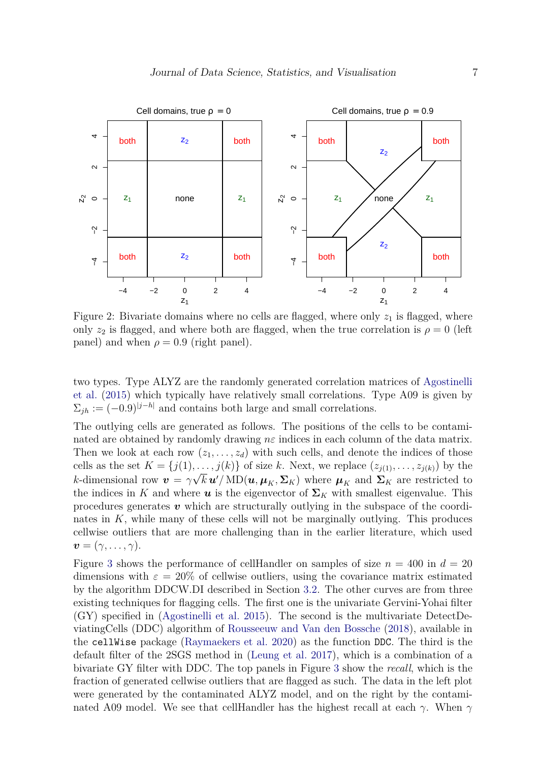<span id="page-6-0"></span>

Figure 2: Bivariate domains where no cells are flagged, where only  $z<sub>1</sub>$  is flagged, where only  $z_2$  is flagged, and where both are flagged, when the true correlation is  $\rho = 0$  (left panel) and when  $\rho = 0.9$  (right panel).

two types. Type ALYZ are the randomly generated correlation matrices of [Agostinelli](#page-15-2) [et al.](#page-15-2) [\(2015\)](#page-15-2) which typically have relatively small correlations. Type A09 is given by  $\Sigma_{jh} := (-0.9)^{|j-h|}$  and contains both large and small correlations.

The outlying cells are generated as follows. The positions of the cells to be contaminated are obtained by randomly drawing *nε* indices in each column of the data matrix. Then we look at each row  $(z_1, \ldots, z_d)$  with such cells, and denote the indices of those cells as the set  $K = \{j(1), \ldots, j(k)\}\$  of size *k*. Next, we replace  $(z_{j(1)}, \ldots, z_{j(k)})$  by the *k*-dimensional row  $v = \gamma \sqrt{k} u'/\text{MD}(u, \mu_K, \Sigma_K)$  where  $\mu_K$  and  $\Sigma_K$  are restricted to the indices in K and where  $u$  is the eigenvector of  $\Sigma_K$  with smallest eigenvalue. This procedures generates *v* which are structurally outlying in the subspace of the coordinates in *K*, while many of these cells will not be marginally outlying. This produces cellwise outliers that are more challenging than in the earlier literature, which used  $\boldsymbol{v} = (\gamma, \ldots, \gamma).$ 

Figure [3](#page-7-0) shows the performance of cellHandler on samples of size  $n = 400$  in  $d = 20$ dimensions with  $\varepsilon = 20\%$  of cellwise outliers, using the covariance matrix estimated by the algorithm DDCW.DI described in Section [3.2.](#page-8-2) The other curves are from three existing techniques for flagging cells. The first one is the univariate Gervini-Yohai filter (GY) specified in [\(Agostinelli et al.](#page-15-2) [2015\)](#page-15-2). The second is the multivariate DetectDeviatingCells (DDC) algorithm of [Rousseeuw and Van den Bossche](#page-17-1) [\(2018\)](#page-17-1), available in the cellWise package [\(Raymaekers et al.](#page-17-5) [2020\)](#page-17-5) as the function DDC. The third is the default filter of the 2SGS method in [\(Leung et al.](#page-17-0) [2017\)](#page-17-0), which is a combination of a bivariate GY filter with DDC. The top panels in Figure [3](#page-7-0) show the *recall*, which is the fraction of generated cellwise outliers that are flagged as such. The data in the left plot were generated by the contaminated ALYZ model, and on the right by the contaminated A09 model. We see that cellHandler has the highest recall at each  $\gamma$ . When  $\gamma$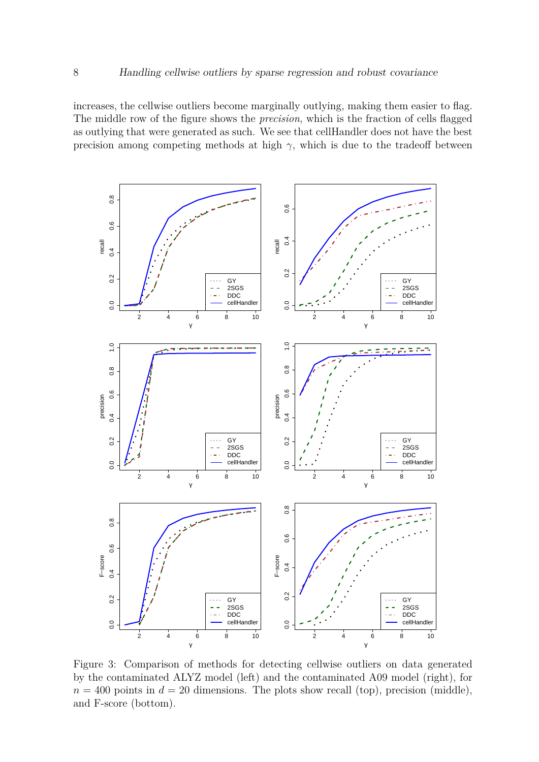increases, the cellwise outliers become marginally outlying, making them easier to flag. The middle row of the figure shows the *precision*, which is the fraction of cells flagged as outlying that were generated as such. We see that cellHandler does not have the best precision among competing methods at high  $\gamma$ , which is due to the tradeoff between

<span id="page-7-0"></span>

Figure 3: Comparison of methods for detecting cellwise outliers on data generated by the contaminated ALYZ model (left) and the contaminated A09 model (right), for  $n = 400$  points in  $d = 20$  dimensions. The plots show recall (top), precision (middle), and F-score (bottom).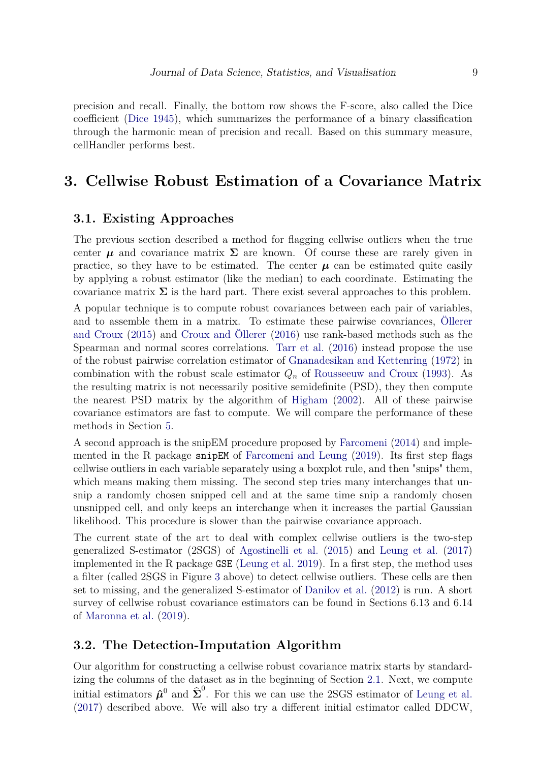precision and recall. Finally, the bottom row shows the F-score, also called the Dice coefficient [\(Dice](#page-16-4) [1945\)](#page-16-4), which summarizes the performance of a binary classification through the harmonic mean of precision and recall. Based on this summary measure, cellHandler performs best.

## <span id="page-8-1"></span>**3. Cellwise Robust Estimation of a Covariance Matrix**

#### <span id="page-8-0"></span>**3.1. Existing Approaches**

The previous section described a method for flagging cellwise outliers when the true center  $\mu$  and covariance matrix  $\Sigma$  are known. Of course these are rarely given in practice, so they have to be estimated. The center  $\mu$  can be estimated quite easily by applying a robust estimator (like the median) to each coordinate. Estimating the covariance matrix  $\Sigma$  is the hard part. There exist several approaches to this problem.

A popular technique is to compute robust covariances between each pair of variables, and to assemble them in a matrix. To estimate these pairwise covariances, [Öllerer](#page-17-6) [and Croux](#page-17-6) [\(2015\)](#page-17-6) and [Croux and Öllerer](#page-16-5) [\(2016\)](#page-16-5) use rank-based methods such as the Spearman and normal scores correlations. [Tarr et al.](#page-17-7) [\(2016\)](#page-17-7) instead propose the use of the robust pairwise correlation estimator of [Gnanadesikan and Kettenring](#page-16-6) [\(1972\)](#page-16-6) in combination with the robust scale estimator  $Q_n$  of [Rousseeuw and Croux](#page-17-8) [\(1993\)](#page-17-8). As the resulting matrix is not necessarily positive semidefinite (PSD), they then compute the nearest PSD matrix by the algorithm of [Higham](#page-16-7) [\(2002\)](#page-16-7). All of these pairwise covariance estimators are fast to compute. We will compare the performance of these methods in Section [5.](#page-11-0)

A second approach is the snipEM procedure proposed by [Farcomeni](#page-16-0) [\(2014\)](#page-16-0) and imple-mented in the R package snipEM of [Farcomeni and Leung](#page-16-8) [\(2019\)](#page-16-8). Its first step flags cellwise outliers in each variable separately using a boxplot rule, and then "snips" them, which means making them missing. The second step tries many interchanges that unsnip a randomly chosen snipped cell and at the same time snip a randomly chosen unsnipped cell, and only keeps an interchange when it increases the partial Gaussian likelihood. This procedure is slower than the pairwise covariance approach.

The current state of the art to deal with complex cellwise outliers is the two-step generalized S-estimator (2SGS) of [Agostinelli et al.](#page-15-2) [\(2015\)](#page-15-2) and [Leung et al.](#page-17-0) [\(2017\)](#page-17-0) implemented in the R package GSE [\(Leung et al.](#page-16-9) [2019\)](#page-16-9). In a first step, the method uses a filter (called 2SGS in Figure [3](#page-7-0) above) to detect cellwise outliers. These cells are then set to missing, and the generalized S-estimator of [Danilov et al.](#page-16-10) [\(2012\)](#page-16-10) is run. A short survey of cellwise robust covariance estimators can be found in Sections 6.13 and 6.14 of [Maronna et al.](#page-17-9) [\(2019\)](#page-17-9).

#### <span id="page-8-2"></span>**3.2. The Detection-Imputation Algorithm**

Our algorithm for constructing a cellwise robust covariance matrix starts by standardizing the columns of the dataset as in the beginning of Section [2.1.](#page-3-2) Next, we compute initial estimators  $\hat{\mu}^0$  and  $\hat{\Sigma}^0$ . For this we can use the 2SGS estimator of [Leung et al.](#page-17-0) [\(2017\)](#page-17-0) described above. We will also try a different initial estimator called DDCW,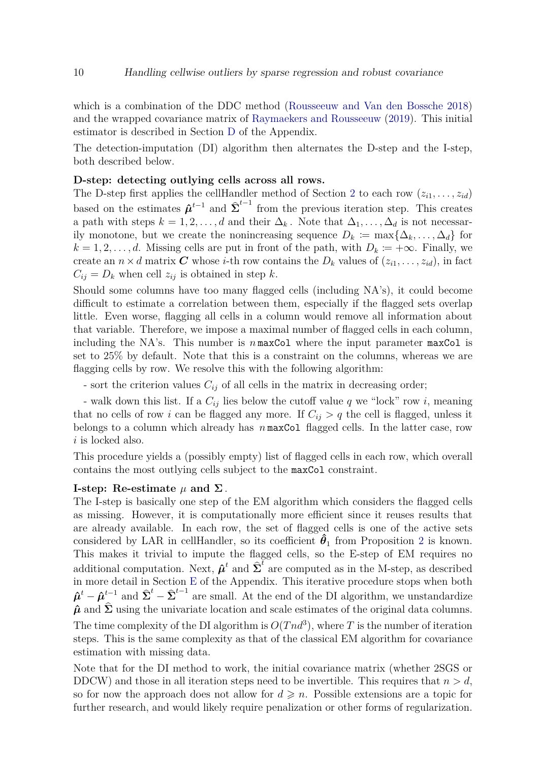which is a combination of the DDC method [\(Rousseeuw and Van den Bossche](#page-17-1) [2018\)](#page-17-1) and the wrapped covariance matrix of [Raymaekers and Rousseeuw](#page-17-10) [\(2019\)](#page-17-10). This initial estimator is described in Section [D](#page-21-1) of the Appendix.

The detection-imputation (DI) algorithm then alternates the D-step and the I-step, both described below.

#### **D-step: detecting outlying cells across all rows.**

The D-step first applies the cellHandler method of Section [2](#page-2-1) to each row  $(z_{i1}, \ldots, z_{id})$ based on the estimates  $\hat{\mu}^{t-1}$  and  $\hat{\Sigma}^{t-1}$  from the previous iteration step. This creates a path with steps  $k = 1, 2, \ldots, d$  and their  $\Delta_k$ . Note that  $\Delta_1, \ldots, \Delta_d$  is not necessarily monotone, but we create the nonincreasing sequence  $D_k \coloneqq \max\{\Delta_k, \ldots, \Delta_d\}$  for  $k = 1, 2, \ldots, d$ . Missing cells are put in front of the path, with  $D_k \coloneqq +\infty$ . Finally, we create an  $n \times d$  matrix *C* whose *i*-th row contains the  $D_k$  values of  $(z_{i1}, \ldots, z_{id})$ , in fact  $C_{ij} = D_k$  when cell  $z_{ij}$  is obtained in step *k*.

Should some columns have too many flagged cells (including NA's), it could become difficult to estimate a correlation between them, especially if the flagged sets overlap little. Even worse, flagging all cells in a column would remove all information about that variable. Therefore, we impose a maximal number of flagged cells in each column, including the NA's. This number is  $n \max$ Col where the input parameter  $max$ Col is set to 25% by default. Note that this is a constraint on the columns, whereas we are flagging cells by row. We resolve this with the following algorithm:

- sort the criterion values  $C_{ij}$  of all cells in the matrix in decreasing order;

- walk down this list. If a  $C_{ij}$  lies below the cutoff value q we "lock" row i, meaning that no cells of row *i* can be flagged any more. If  $C_{ij} > q$  the cell is flagged, unless it belongs to a column which already has *n* maxCol flagged cells. In the latter case, row *i* is locked also.

This procedure yields a (possibly empty) list of flagged cells in each row, which overall contains the most outlying cells subject to the maxCol constraint.

#### **I-step:** Re-estimate  $\mu$  and  $\Sigma$ .

The I-step is basically one step of the EM algorithm which considers the flagged cells as missing. However, it is computationally more efficient since it reuses results that are already available. In each row, the set of flagged cells is one of the active sets considered by LAR in cellHandler, so its coefficient  $\hat{\theta}_1$  from Proposition [2](#page-5-0) is known. This makes it trivial to impute the flagged cells, so the E-step of EM requires no additional computation. Next,  $\hat{\boldsymbol{\mu}}^t$  and  $\hat{\boldsymbol{\Sigma}}^t$  are computed as in the M-step, as described in more detail in Section [E](#page-22-0) of the Appendix. This iterative procedure stops when both  $\hat{\boldsymbol{\mu}}^t - \hat{\boldsymbol{\mu}}^{t-1}_\text{o}$  and  $\hat{\boldsymbol{\Sigma}}^t - \hat{\boldsymbol{\Sigma}}^{t-1}$  are small. At the end of the DI algorithm, we unstandardize  $\hat{\mu}$  and  $\hat{\Sigma}$  using the univariate location and scale estimates of the original data columns. The time complexity of the DI algorithm is  $O(Tnd^3)$ , where T is the number of iteration steps. This is the same complexity as that of the classical EM algorithm for covariance estimation with missing data.

Note that for the DI method to work, the initial covariance matrix (whether 2SGS or DDCW) and those in all iteration steps need to be invertible. This requires that  $n > d$ , so for now the approach does not allow for  $d \geq n$ . Possible extensions are a topic for further research, and would likely require penalization or other forms of regularization.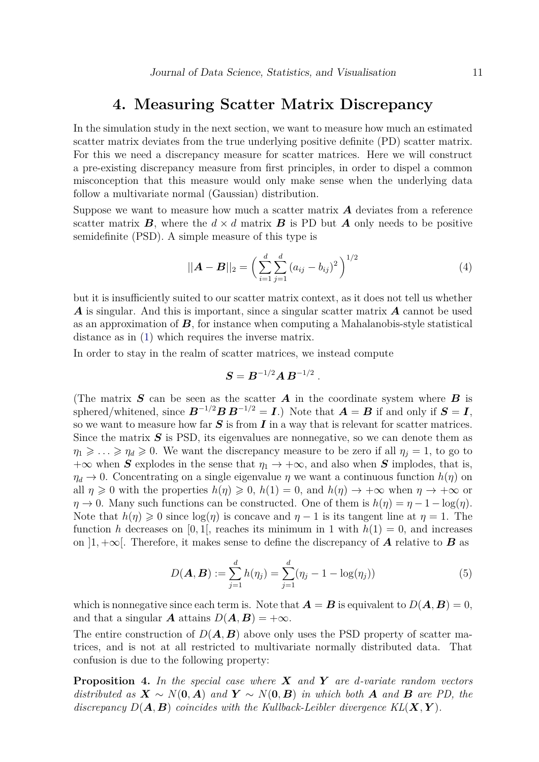### **4. Measuring Scatter Matrix Discrepancy**

In the simulation study in the next section, we want to measure how much an estimated scatter matrix deviates from the true underlying positive definite (PD) scatter matrix. For this we need a discrepancy measure for scatter matrices. Here we will construct a pre-existing discrepancy measure from first principles, in order to dispel a common misconception that this measure would only make sense when the underlying data follow a multivariate normal (Gaussian) distribution.

Suppose we want to measure how much a scatter matrix *A* deviates from a reference scatter matrix  $\boldsymbol{B}$ , where the  $d \times d$  matrix  $\boldsymbol{B}$  is PD but  $\boldsymbol{A}$  only needs to be positive semidefinite (PSD). A simple measure of this type is

<span id="page-10-1"></span>
$$
||\mathbf{A} - \mathbf{B}||_2 = \left(\sum_{i=1}^d \sum_{j=1}^d (a_{ij} - b_{ij})^2\right)^{1/2}
$$
 (4)

but it is insufficiently suited to our scatter matrix context, as it does not tell us whether *A* is singular. And this is important, since a singular scatter matrix *A* cannot be used as an approximation of *B*, for instance when computing a Mahalanobis-style statistical distance as in [\(1\)](#page-3-0) which requires the inverse matrix.

In order to stay in the realm of scatter matrices, we instead compute

<span id="page-10-0"></span>
$$
\bm{S} = \bm{B}^{-1/2} \bm{A} \, \bm{B}^{-1/2} \ .
$$

(The matrix *S* can be seen as the scatter *A* in the coordinate system where *B* is sphered/whitened, since  $B^{-1/2}BB^{-1/2} = I$ .) Note that  $A = B$  if and only if  $S = I$ , so we want to measure how far *S* is from *I* in a way that is relevant for scatter matrices. Since the matrix  $S$  is PSD, its eigenvalues are nonnegative, so we can denote them as  $\eta_1 \geq \ldots \geq \eta_d \geq 0$ . We want the discrepancy measure to be zero if all  $\eta_j = 1$ , to go to  $+\infty$  when *S* explodes in the sense that  $\eta_1 \rightarrow +\infty$ , and also when *S* implodes, that is,  $\eta_d \to 0$ . Concentrating on a single eigenvalue  $\eta$  we want a continuous function  $h(\eta)$  on all  $\eta \geq 0$  with the properties  $h(\eta) \geq 0$ ,  $h(1) = 0$ , and  $h(\eta) \rightarrow +\infty$  when  $\eta \rightarrow +\infty$  or  $\eta \to 0$ . Many such functions can be constructed. One of them is  $h(\eta) = \eta - 1 - \log(\eta)$ . Note that  $h(\eta) \geq 0$  since  $\log(\eta)$  is concave and  $\eta - 1$  is its tangent line at  $\eta = 1$ . The function *h* decreases on [0, 1], reaches its minimum in 1 with  $h(1) = 0$ , and increases on  $\vert 1, +\infty \vert$ . Therefore, it makes sense to define the discrepancy of **A** relative to **B** as

$$
D(\mathbf{A}, \mathbf{B}) := \sum_{j=1}^{d} h(\eta_j) = \sum_{j=1}^{d} (\eta_j - 1 - \log(\eta_j))
$$
(5)

which is nonnegative since each term is. Note that  $\mathbf{A} = \mathbf{B}$  is equivalent to  $D(\mathbf{A}, \mathbf{B}) = 0$ , and that a singular *A* attains  $D(A, B) = +\infty$ .

The entire construction of  $D(A, B)$  above only uses the PSD property of scatter matrices, and is not at all restricted to multivariate normally distributed data. That confusion is due to the following property:

**Proposition 4.** *In the special case where X and Y are d-variate random vectors distributed as*  $X \sim N(0, A)$  *and*  $Y \sim N(0, B)$  *in which both A and B are PD, the discrepancy*  $D(A, B)$  *coincides with the Kullback-Leibler divergence*  $KL(X, Y)$ *.*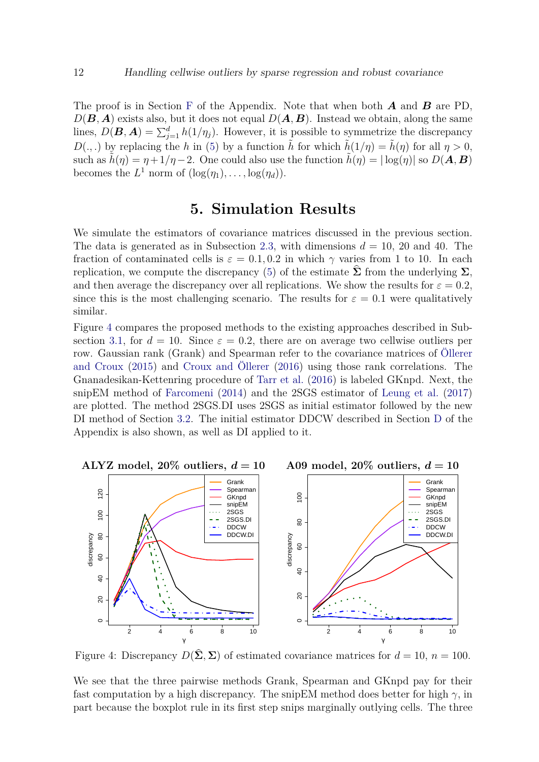The proof is in Section [F](#page-23-0) of the Appendix. Note that when both *A* and *B* are PD,  $D(\mathbf{B}, \mathbf{A})$  exists also, but it does not equal  $D(\mathbf{A}, \mathbf{B})$ . Instead we obtain, along the same lines,  $D(\mathbf{B}, \mathbf{A}) = \sum_{j=1}^{d} h(1/\eta_j)$ . However, it is possible to symmetrize the discrepancy *D*(., .) by replacing the *h* in [\(5\)](#page-10-0) by a function  $\tilde{h}$  for which  $\tilde{h}(1/\eta) = \tilde{h}(\eta)$  for all  $\eta > 0$ , such as  $h(\eta) = \eta + 1/\eta - 2$ . One could also use the function  $h(\eta) = |\log(\eta)|$  so  $D(\mathbf{A}, \mathbf{B})$ becomes the  $L^1$  norm of  $(\log(\eta_1), \ldots, \log(\eta_d)).$ 

# **5. Simulation Results**

<span id="page-11-0"></span>We simulate the estimators of covariance matrices discussed in the previous section. The data is generated as in Subsection [2.3,](#page-5-1) with dimensions  $d = 10$ , 20 and 40. The fraction of contaminated cells is  $\varepsilon = 0.1, 0.2$  in which  $\gamma$  varies from 1 to 10. In each replication, we compute the discrepancy [\(5\)](#page-10-0) of the estimate  $\hat{\Sigma}$  from the underlying  $\Sigma$ , and then average the discrepancy over all replications. We show the results for  $\varepsilon = 0.2$ , since this is the most challenging scenario. The results for  $\varepsilon = 0.1$  were qualitatively similar.

Figure [4](#page-11-1) compares the proposed methods to the existing approaches described in Sub-section [3.1,](#page-8-0) for  $d = 10$ . Since  $\varepsilon = 0.2$ , there are on average two cellwise outliers per row. Gaussian rank (Grank) and Spearman refer to the covariance matrices of [Öllerer](#page-17-6) [and Croux](#page-17-6) [\(2015\)](#page-17-6) and [Croux and Öllerer](#page-16-5) [\(2016\)](#page-16-5) using those rank correlations. The Gnanadesikan-Kettenring procedure of [Tarr et al.](#page-17-7) [\(2016\)](#page-17-7) is labeled GKnpd. Next, the snipEM method of [Farcomeni](#page-16-0) [\(2014\)](#page-16-0) and the 2SGS estimator of [Leung et al.](#page-17-0) [\(2017\)](#page-17-0) are plotted. The method 2SGS.DI uses 2SGS as initial estimator followed by the new DI method of Section [3.2.](#page-8-2) The initial estimator DDCW described in Section [D](#page-21-1) of the Appendix is also shown, as well as DI applied to it.

<span id="page-11-1"></span>

Figure 4: Discrepancy  $D(\Sigma, \Sigma)$  of estimated covariance matrices for  $d = 10$ ,  $n = 100$ .

We see that the three pairwise methods Grank, Spearman and GKnpd pay for their fast computation by a high discrepancy. The snipEM method does better for high  $\gamma$ , in part because the boxplot rule in its first step snips marginally outlying cells. The three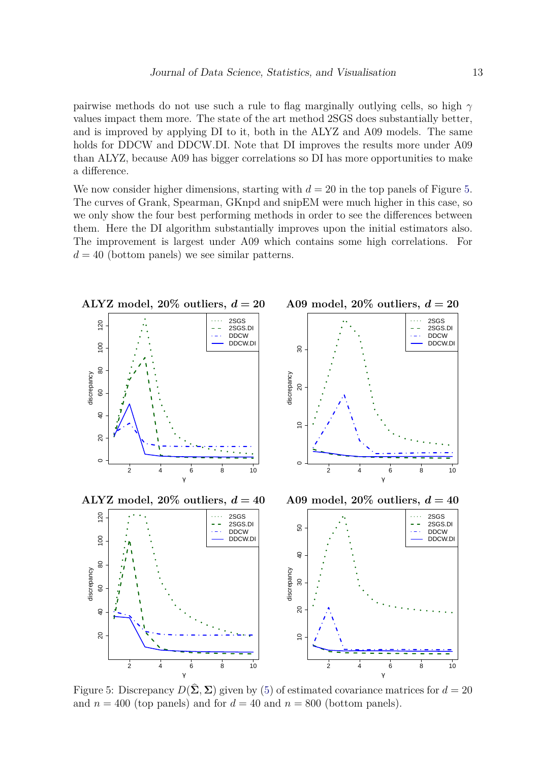pairwise methods do not use such a rule to flag marginally outlying cells, so high *γ* values impact them more. The state of the art method 2SGS does substantially better, and is improved by applying DI to it, both in the ALYZ and A09 models. The same holds for DDCW and DDCW.DI. Note that DI improves the results more under A09 than ALYZ, because A09 has bigger correlations so DI has more opportunities to make a difference.

We now consider higher dimensions, starting with  $d = 20$  in the top panels of Figure [5.](#page-12-0) The curves of Grank, Spearman, GKnpd and snipEM were much higher in this case, so we only show the four best performing methods in order to see the differences between them. Here the DI algorithm substantially improves upon the initial estimators also. The improvement is largest under A09 which contains some high correlations. For  $d = 40$  (bottom panels) we see similar patterns.

<span id="page-12-0"></span>

Figure 5: Discrepancy  $D(\hat{\Sigma}, \Sigma)$  given by [\(5\)](#page-10-0) of estimated covariance matrices for  $d = 20$ and  $n = 400$  (top panels) and for  $d = 40$  and  $n = 800$  (bottom panels).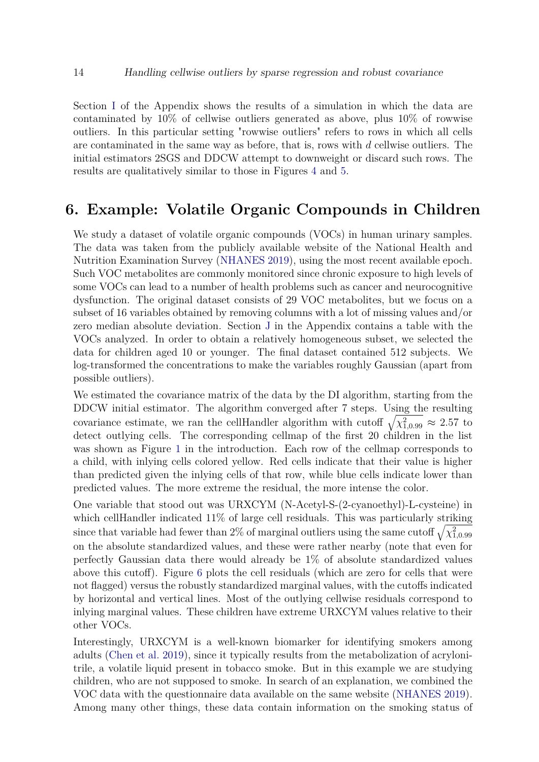Section [I](#page-25-0) of the Appendix shows the results of a simulation in which the data are contaminated by 10% of cellwise outliers generated as above, plus 10% of rowwise outliers. In this particular setting "rowwise outliers" refers to rows in which all cells are contaminated in the same way as before, that is, rows with *d* cellwise outliers. The initial estimators 2SGS and DDCW attempt to downweight or discard such rows. The results are qualitatively similar to those in Figures [4](#page-11-1) and [5.](#page-12-0)

## <span id="page-13-0"></span>**6. Example: Volatile Organic Compounds in Children**

We study a dataset of volatile organic compounds (VOCs) in human urinary samples. The data was taken from the publicly available website of the National Health and Nutrition Examination Survey [\(NHANES](#page-17-11) [2019\)](#page-17-11), using the most recent available epoch. Such VOC metabolites are commonly monitored since chronic exposure to high levels of some VOCs can lead to a number of health problems such as cancer and neurocognitive dysfunction. The original dataset consists of 29 VOC metabolites, but we focus on a subset of 16 variables obtained by removing columns with a lot of missing values and/or zero median absolute deviation. Section [J](#page-26-0) in the Appendix contains a table with the VOCs analyzed. In order to obtain a relatively homogeneous subset, we selected the data for children aged 10 or younger. The final dataset contained 512 subjects. We log-transformed the concentrations to make the variables roughly Gaussian (apart from possible outliers).

We estimated the covariance matrix of the data by the DI algorithm, starting from the DDCW initial estimator. The algorithm converged after 7 steps. Using the resulting covariance estimate, we ran the cellHandler algorithm with cutoff  $\sqrt{\chi^2_{1,0.99}} \approx 2.57$  to detect outlying cells. The corresponding cellmap of the first 20 children in the list was shown as Figure [1](#page-2-0) in the introduction. Each row of the cellmap corresponds to a child, with inlying cells colored yellow. Red cells indicate that their value is higher than predicted given the inlying cells of that row, while blue cells indicate lower than predicted values. The more extreme the residual, the more intense the color.

One variable that stood out was URXCYM (N-Acetyl-S-(2-cyanoethyl)-L-cysteine) in which cellHandler indicated  $11\%$  of large cell residuals. This was particularly striking since that variable had fewer than 2% of marginal outliers using the same cutoff  $\sqrt{\chi^2_{1,0.99}}$ on the absolute standardized values, and these were rather nearby (note that even for perfectly Gaussian data there would already be 1% of absolute standardized values above this cutoff). Figure [6](#page-14-0) plots the cell residuals (which are zero for cells that were not flagged) versus the robustly standardized marginal values, with the cutoffs indicated by horizontal and vertical lines. Most of the outlying cellwise residuals correspond to inlying marginal values. These children have extreme URXCYM values relative to their other VOCs.

Interestingly, URXCYM is a well-known biomarker for identifying smokers among adults [\(Chen et al.](#page-15-3) [2019\)](#page-15-3), since it typically results from the metabolization of acrylonitrile, a volatile liquid present in tobacco smoke. But in this example we are studying children, who are not supposed to smoke. In search of an explanation, we combined the VOC data with the questionnaire data available on the same website [\(NHANES](#page-17-11) [2019\)](#page-17-11). Among many other things, these data contain information on the smoking status of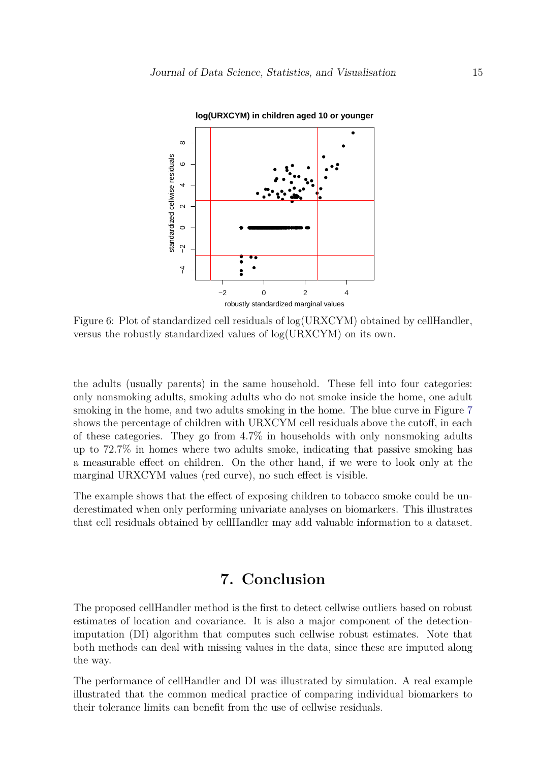<span id="page-14-0"></span>

Figure 6: Plot of standardized cell residuals of log(URXCYM) obtained by cellHandler, versus the robustly standardized values of log(URXCYM) on its own.

the adults (usually parents) in the same household. These fell into four categories: only nonsmoking adults, smoking adults who do not smoke inside the home, one adult smoking in the home, and two adults smoking in the home. The blue curve in Figure [7](#page-15-4) shows the percentage of children with URXCYM cell residuals above the cutoff, in each of these categories. They go from 4.7% in households with only nonsmoking adults up to 72.7% in homes where two adults smoke, indicating that passive smoking has a measurable effect on children. On the other hand, if we were to look only at the marginal URXCYM values (red curve), no such effect is visible.

The example shows that the effect of exposing children to tobacco smoke could be underestimated when only performing univariate analyses on biomarkers. This illustrates that cell residuals obtained by cellHandler may add valuable information to a dataset.

# **7. Conclusion**

The proposed cellHandler method is the first to detect cellwise outliers based on robust estimates of location and covariance. It is also a major component of the detectionimputation (DI) algorithm that computes such cellwise robust estimates. Note that both methods can deal with missing values in the data, since these are imputed along the way.

The performance of cellHandler and DI was illustrated by simulation. A real example illustrated that the common medical practice of comparing individual biomarkers to their tolerance limits can benefit from the use of cellwise residuals.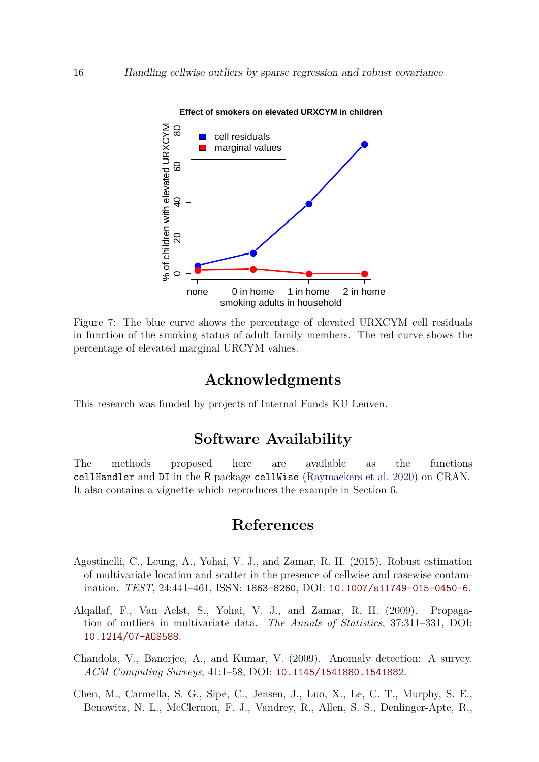<span id="page-15-4"></span>

Figure 7: The blue curve shows the percentage of elevated URXCYM cell residuals in function of the smoking status of adult family members. The red curve shows the percentage of elevated marginal URCYM values.

## **Acknowledgments**

This research was funded by projects of Internal Funds KU Leuven.

# **Software Availability**

The methods proposed here are available as the functions cellHandler and DI in the R package cellWise [\(Raymaekers et al.](#page-17-5) [2020\)](#page-17-5) on CRAN. It also contains a vignette which reproduces the example in Section [6.](#page-13-0)

# **References**

- <span id="page-15-2"></span>Agostinelli, C., Leung, A., Yohai, V. J., and Zamar, R. H. (2015). Robust estimation of multivariate location and scatter in the presence of cellwise and casewise contamination. *TEST*, 24:441–461, ISSN: 1863-8260, DOI: [10.1007/s11749-015-0450-6](https://dx.doi.org/10.1007/s11749-015-0450-6).
- <span id="page-15-1"></span>Alqallaf, F., Van Aelst, S., Yohai, V. J., and Zamar, R. H. (2009). Propagation of outliers in multivariate data. *The Annals of Statistics*, 37:311–331, DOI: [10.1214/07-AOS588](https://dx.doi.org/10.1214/07-AOS588).
- <span id="page-15-0"></span>Chandola, V., Banerjee, A., and Kumar, V. (2009). Anomaly detection: A survey. *ACM Computing Surveys*, 41:1–58, DOI: [10.1145/1541880.1541882](https://dx.doi.org/10.1145/1541880.1541882).
- <span id="page-15-3"></span>Chen, M., Carmella, S. G., Sipe, C., Jensen, J., Luo, X., Le, C. T., Murphy, S. E., Benowitz, N. L., McClernon, F. J., Vandrey, R., Allen, S. S., Denlinger-Apte, R.,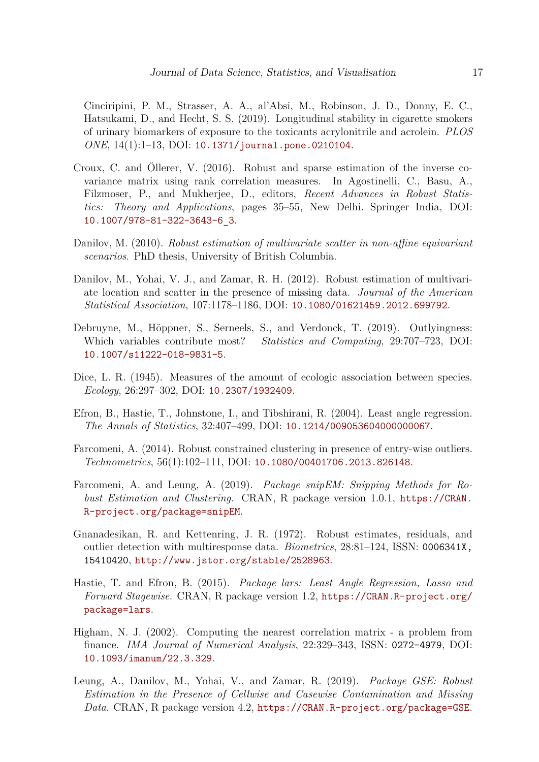Cinciripini, P. M., Strasser, A. A., al'Absi, M., Robinson, J. D., Donny, E. C., Hatsukami, D., and Hecht, S. S. (2019). Longitudinal stability in cigarette smokers of urinary biomarkers of exposure to the toxicants acrylonitrile and acrolein. *PLOS ONE*, 14(1):1–13, DOI: [10.1371/journal.pone.0210104](https://dx.doi.org/10.1371/journal.pone.0210104).

- <span id="page-16-5"></span>Croux, C. and Öllerer, V. (2016). Robust and sparse estimation of the inverse covariance matrix using rank correlation measures. In Agostinelli, C., Basu, A., Filzmoser, P., and Mukherjee, D., editors, *Recent Advances in Robust Statistics: Theory and Applications*, pages 35–55, New Delhi. Springer India, DOI: [10.1007/978-81-322-3643-6\\_3](https://dx.doi.org/10.1007/978-81-322-3643-6_3).
- <span id="page-16-11"></span>Danilov, M. (2010). *Robust estimation of multivariate scatter in non-affine equivariant scenarios*. PhD thesis, University of British Columbia.
- <span id="page-16-10"></span>Danilov, M., Yohai, V. J., and Zamar, R. H. (2012). Robust estimation of multivariate location and scatter in the presence of missing data. *Journal of the American Statistical Association*, 107:1178–1186, DOI: [10.1080/01621459.2012.699792](https://dx.doi.org/10.1080/01621459.2012.699792).
- <span id="page-16-1"></span>Debruyne, M., Höppner, S., Serneels, S., and Verdonck, T. (2019). Outlyingness: Which variables contribute most? *Statistics and Computing*, 29:707–723, DOI: [10.1007/s11222-018-9831-5](https://dx.doi.org/10.1007/s11222-018-9831-5).
- <span id="page-16-4"></span>Dice, L. R. (1945). Measures of the amount of ecologic association between species. *Ecology*, 26:297–302, DOI: [10.2307/1932409](https://dx.doi.org/10.2307/1932409).
- <span id="page-16-2"></span>Efron, B., Hastie, T., Johnstone, I., and Tibshirani, R. (2004). Least angle regression. *The Annals of Statistics*, 32:407–499, DOI: [10.1214/009053604000000067](https://dx.doi.org/10.1214/009053604000000067).
- <span id="page-16-0"></span>Farcomeni, A. (2014). Robust constrained clustering in presence of entry-wise outliers. *Technometrics*, 56(1):102–111, DOI: [10.1080/00401706.2013.826148](https://dx.doi.org/10.1080/00401706.2013.826148).
- <span id="page-16-8"></span>Farcomeni, A. and Leung, A. (2019). *Package snipEM: Snipping Methods for Robust Estimation and Clustering*. CRAN, R package version 1.0.1, [https://CRAN.](https://CRAN.R-project.org/package=snipEM) [R-project.org/package=snipEM](https://CRAN.R-project.org/package=snipEM).
- <span id="page-16-6"></span>Gnanadesikan, R. and Kettenring, J. R. (1972). Robust estimates, residuals, and outlier detection with multiresponse data. *Biometrics*, 28:81–124, ISSN: 0006341X, 15410420, <http://www.jstor.org/stable/2528963>.
- <span id="page-16-3"></span>Hastie, T. and Efron, B. (2015). *Package lars: Least Angle Regression, Lasso and Forward Stagewise*. CRAN, R package version 1.2, [https://CRAN.R-project.org/](https://CRAN.R-project.org/package=lars) [package=lars](https://CRAN.R-project.org/package=lars).
- <span id="page-16-7"></span>Higham, N. J. (2002). Computing the nearest correlation matrix - a problem from finance. *IMA Journal of Numerical Analysis*, 22:329–343, ISSN: 0272-4979, DOI: [10.1093/imanum/22.3.329](https://dx.doi.org/10.1093/imanum/22.3.329).
- <span id="page-16-9"></span>Leung, A., Danilov, M., Yohai, V., and Zamar, R. (2019). *Package GSE: Robust Estimation in the Presence of Cellwise and Casewise Contamination and Missing Data*. CRAN, R package version 4.2, <https://CRAN.R-project.org/package=GSE>.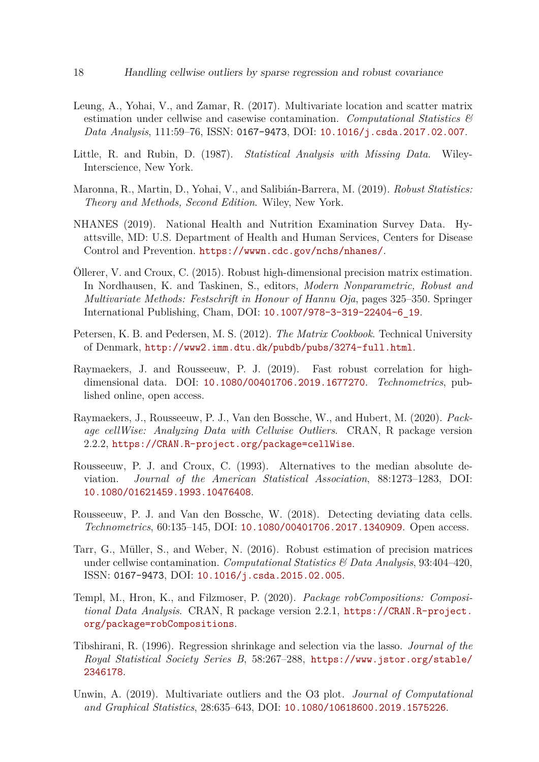- <span id="page-17-0"></span>Leung, A., Yohai, V., and Zamar, R. (2017). Multivariate location and scatter matrix estimation under cellwise and casewise contamination. *Computational Statistics & Data Analysis*, 111:59–76, ISSN: 0167-9473, DOI: [10.1016/j.csda.2017.02.007](https://dx.doi.org/10.1016/j.csda.2017.02.007).
- <span id="page-17-4"></span>Little, R. and Rubin, D. (1987). *Statistical Analysis with Missing Data*. Wiley-Interscience, New York.
- <span id="page-17-9"></span>Maronna, R., Martin, D., Yohai, V., and Salibián-Barrera, M. (2019). *Robust Statistics: Theory and Methods, Second Edition*. Wiley, New York.
- <span id="page-17-11"></span>NHANES (2019). National Health and Nutrition Examination Survey Data. Hyattsville, MD: U.S. Department of Health and Human Services, Centers for Disease Control and Prevention. <https://wwwn.cdc.gov/nchs/nhanes/>.
- <span id="page-17-6"></span>Öllerer, V. and Croux, C. (2015). Robust high-dimensional precision matrix estimation. In Nordhausen, K. and Taskinen, S., editors, *Modern Nonparametric, Robust and Multivariate Methods: Festschrift in Honour of Hannu Oja*, pages 325–350. Springer International Publishing, Cham, DOI: [10.1007/978-3-319-22404-6\\_19](https://dx.doi.org/10.1007/978-3-319-22404-6_19).
- <span id="page-17-12"></span>Petersen, K. B. and Pedersen, M. S. (2012). *The Matrix Cookbook*. Technical University of Denmark, <http://www2.imm.dtu.dk/pubdb/pubs/3274-full.html>.
- <span id="page-17-10"></span>Raymaekers, J. and Rousseeuw, P. J. (2019). Fast robust correlation for highdimensional data. DOI: [10.1080/00401706.2019.1677270](https://dx.doi.org/10.1080/00401706.2019.1677270). *Technometrics*, published online, open access.
- <span id="page-17-5"></span>Raymaekers, J., Rousseeuw, P. J., Van den Bossche, W., and Hubert, M. (2020). *Package cellWise: Analyzing Data with Cellwise Outliers*. CRAN, R package version 2.2.2, <https://CRAN.R-project.org/package=cellWise>.
- <span id="page-17-8"></span>Rousseeuw, P. J. and Croux, C. (1993). Alternatives to the median absolute deviation. *Journal of the American Statistical Association*, 88:1273–1283, DOI: [10.1080/01621459.1993.10476408](https://dx.doi.org/10.1080/01621459.1993.10476408).
- <span id="page-17-1"></span>Rousseeuw, P. J. and Van den Bossche, W. (2018). Detecting deviating data cells. *Technometrics*, 60:135–145, DOI: [10.1080/00401706.2017.1340909](https://dx.doi.org/10.1080/00401706.2017.1340909). Open access.
- <span id="page-17-7"></span>Tarr, G., Müller, S., and Weber, N. (2016). Robust estimation of precision matrices under cellwise contamination. *Computational Statistics & Data Analysis*, 93:404–420, ISSN: 0167-9473, DOI: [10.1016/j.csda.2015.02.005](https://dx.doi.org/10.1016/j.csda.2015.02.005).
- <span id="page-17-13"></span>Templ, M., Hron, K., and Filzmoser, P. (2020). *Package robCompositions: Compositional Data Analysis*. CRAN, R package version 2.2.1, [https://CRAN.R-project.](https://CRAN.R-project.org/package=robCompositions) [org/package=robCompositions](https://CRAN.R-project.org/package=robCompositions).
- <span id="page-17-3"></span>Tibshirani, R. (1996). Regression shrinkage and selection via the lasso. *Journal of the Royal Statistical Society Series B*, 58:267–288, [https://www.jstor.org/stable/](https://www.jstor.org/stable/2346178) [2346178](https://www.jstor.org/stable/2346178).
- <span id="page-17-2"></span>Unwin, A. (2019). Multivariate outliers and the O3 plot. *Journal of Computational and Graphical Statistics*, 28:635–643, DOI: [10.1080/10618600.2019.1575226](https://dx.doi.org/10.1080/10618600.2019.1575226).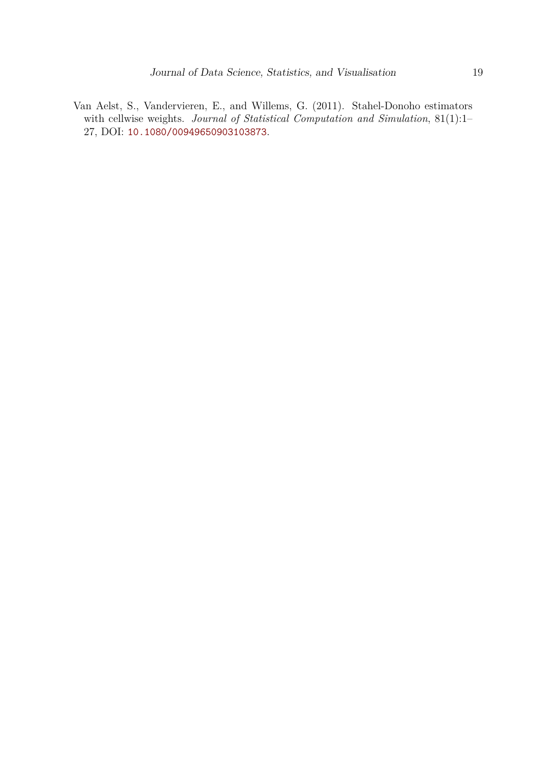<span id="page-18-0"></span>Van Aelst, S., Vandervieren, E., and Willems, G. (2011). Stahel-Donoho estimators with cellwise weights. *Journal of Statistical Computation and Simulation*, 81(1):1– 27, DOI: [10.1080/00949650903103873](https://dx.doi.org/10.1080/00949650903103873).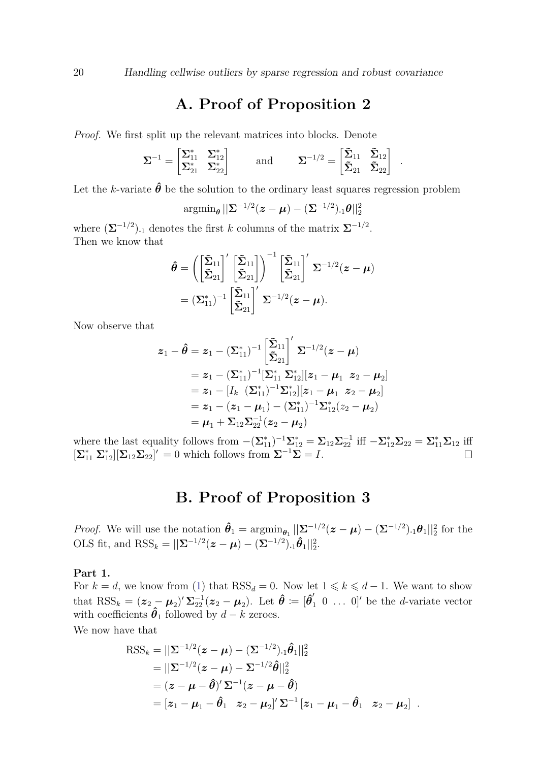## **A. Proof of Proposition 2**

<span id="page-19-0"></span>*Proof.* We first split up the relevant matrices into blocks. Denote

$$
\boldsymbol{\Sigma}^{-1} = \begin{bmatrix} \boldsymbol{\Sigma}_{11}^* & \boldsymbol{\Sigma}_{12}^* \\ \boldsymbol{\Sigma}_{21}^* & \boldsymbol{\Sigma}_{22}^* \end{bmatrix} \qquad \text{and} \qquad \boldsymbol{\Sigma}^{-1/2} = \begin{bmatrix} \boldsymbol{\tilde{\Sigma}}_{11} & \boldsymbol{\tilde{\Sigma}}_{12} \\ \boldsymbol{\tilde{\Sigma}}_{21} & \boldsymbol{\tilde{\Sigma}}_{22} \end{bmatrix} \enspace .
$$

Let the *k*-variate  $\hat{\theta}$  be the solution to the ordinary least squares regression problem

$$
\mathrm{argmin}_{\boldsymbol{\theta}} \|\boldsymbol{\Sigma}^{-1/2}(\boldsymbol{z}-\boldsymbol{\mu})-(\boldsymbol{\Sigma}^{-1/2})\cdot \boldsymbol{\theta}\|_2^2
$$

where  $(\mathbf{\Sigma}^{-1/2})$ <sub>1</sub> denotes the first *k* columns of the matrix  $\mathbf{\Sigma}^{-1/2}$ . Then we know that

$$
\hat{\boldsymbol{\theta}} = \left( \begin{bmatrix} \tilde{\boldsymbol{\Sigma}}_{11} \\ \tilde{\boldsymbol{\Sigma}}_{21} \end{bmatrix}' \begin{bmatrix} \tilde{\boldsymbol{\Sigma}}_{11} \\ \tilde{\boldsymbol{\Sigma}}_{21} \end{bmatrix} \right)^{-1} \begin{bmatrix} \tilde{\boldsymbol{\Sigma}}_{11} \\ \tilde{\boldsymbol{\Sigma}}_{21} \end{bmatrix}' \boldsymbol{\Sigma}^{-1/2} (\boldsymbol{z} - \boldsymbol{\mu})
$$

$$
= (\boldsymbol{\Sigma}_{11}^*)^{-1} \begin{bmatrix} \tilde{\boldsymbol{\Sigma}}_{11} \\ \tilde{\boldsymbol{\Sigma}}_{21} \end{bmatrix}' \boldsymbol{\Sigma}^{-1/2} (\boldsymbol{z} - \boldsymbol{\mu}).
$$

Now observe that

$$
z_1 - \hat{\theta} = z_1 - (\Sigma_{11}^*)^{-1} \left[ \tilde{\Sigma}_{21} \right]' \Sigma^{-1/2} (z - \mu)
$$
  
\n
$$
= z_1 - (\Sigma_{11}^*)^{-1} [\Sigma_{11}^* \Sigma_{12}^*] [z_1 - \mu_1 \ z_2 - \mu_2]
$$
  
\n
$$
= z_1 - [I_k \ (\Sigma_{11}^*)^{-1} \Sigma_{12}^*] [z_1 - \mu_1 \ z_2 - \mu_2]
$$
  
\n
$$
= z_1 - (z_1 - \mu_1) - (\Sigma_{11}^*)^{-1} \Sigma_{12}^* (z_2 - \mu_2)
$$
  
\n
$$
= \mu_1 + \Sigma_{12} \Sigma_{22}^{-1} (z_2 - \mu_2)
$$

where the last equality follows from  $-(\Sigma_{11}^*)^{-1}\Sigma_{12}^* = \Sigma_{12}\Sigma_{22}^{-1}$  iff  $-\Sigma_{12}^*\Sigma_{22} = \Sigma_{11}^*\Sigma_{12}$  iff  $[\Sigma_{11}^* \ \Sigma_{12}^*] [\Sigma_{12} \Sigma_{22}]' = 0$  which follows from  $\Sigma^{-1} \Sigma = I$ .

### **B. Proof of Proposition 3**

<span id="page-19-1"></span>*Proof.* We will use the notation  $\hat{\theta}_1 = \operatorname{argmin}_{\theta_1} ||\Sigma^{-1/2}(z - \mu) - (\Sigma^{-1/2}) \cdot |\theta_1||_2^2$  for the OLS fit, and  $RSS_k = ||\mathbf{\Sigma}^{-1/2}(\mathbf{z} - \boldsymbol{\mu}) - (\mathbf{\Sigma}^{-1/2}) \cdot \hat{\boldsymbol{\theta}}_1||_2^2$ .

**Part 1.**

For  $k = d$ , we know from [\(1\)](#page-3-0) that  $RSS_d = 0$ . Now let  $1 \leq k \leq d-1$ . We want to show  ${\rm that} \; {\rm RSS}_k = ({\bm z}_2 - {\bm \mu}_2)' \, {\bm \Sigma}_{22}^{-1} ({\bm z}_2 - {\bm \mu}_2). \; \; {\rm Let} \; \hat{\bm \theta} \coloneqq [\hat{\bm \theta}_2']$  $\int_1^{\prime} 0 \ldots 0$  be the *d*-variate vector with coefficients  $\hat{\theta}_1$  followed by  $d - k$  zeroes.

We now have that

$$
\begin{split} \text{RSS}_{k} &= \|\Sigma^{-1/2}(\boldsymbol{z} - \boldsymbol{\mu}) - (\Sigma^{-1/2}) \cdot \mathbf{1} \hat{\boldsymbol{\theta}}_{1}\|_{2}^{2} \\ &= \|\Sigma^{-1/2}(\boldsymbol{z} - \boldsymbol{\mu}) - \Sigma^{-1/2} \hat{\boldsymbol{\theta}}\|_{2}^{2} \\ &= (\boldsymbol{z} - \boldsymbol{\mu} - \hat{\boldsymbol{\theta}})' \Sigma^{-1} (\boldsymbol{z} - \boldsymbol{\mu} - \hat{\boldsymbol{\theta}}) \\ &= [\boldsymbol{z}_{1} - \boldsymbol{\mu}_{1} - \hat{\boldsymbol{\theta}}_{1} \quad \boldsymbol{z}_{2} - \boldsymbol{\mu}_{2}]' \Sigma^{-1} [\boldsymbol{z}_{1} - \boldsymbol{\mu}_{1} - \hat{\boldsymbol{\theta}}_{1} \quad \boldsymbol{z}_{2} - \boldsymbol{\mu}_{2}] \end{split}.
$$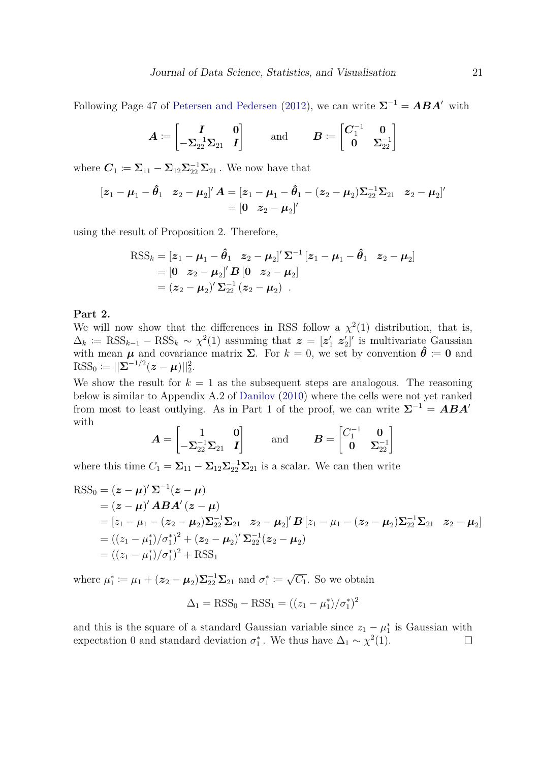Following Page 47 of [Petersen and Pedersen](#page-17-12) [\(2012\)](#page-17-12), we can write  $\Sigma^{-1} = ABA'$  with

$$
\boldsymbol{A}\coloneqq\begin{bmatrix} \boldsymbol{I} & \boldsymbol{0}\\ -\boldsymbol{\Sigma}_{22}^{-1}\boldsymbol{\Sigma}_{21} & \boldsymbol{I} \end{bmatrix} \qquad \text{and} \qquad \boldsymbol{B}\coloneqq\begin{bmatrix} \boldsymbol{C}_1^{-1} & \boldsymbol{0}\\ \boldsymbol{0} & \boldsymbol{\Sigma}_{22}^{-1} \end{bmatrix}
$$

where  $C_1 \coloneqq \Sigma_{11} - \Sigma_{12} \Sigma_{22}^{-1} \Sigma_{21}$ . We now have that

$$
\begin{aligned} \left[\bm{z}_1 - \bm{\mu}_1 - \bm{\hat{\theta}}_1 \quad \bm{z}_2 - \bm{\mu}_2 \right]' \bm{A} &= \left[\bm{z}_1 - \bm{\mu}_1 - \bm{\hat{\theta}}_1 - (\bm{z}_2 - \bm{\mu}_2) \bm{\Sigma}_{22}^{-1} \bm{\Sigma}_{21} \quad \bm{z}_2 - \bm{\mu}_2 \right]' \\ &= \left[\bm{0} \quad \bm{z}_2 - \bm{\mu}_2 \right]' \end{aligned}
$$

using the result of Proposition 2. Therefore,

$$
\begin{aligned} \text{RSS}_{k} &= [\mathbf{z}_{1} - \boldsymbol{\mu}_{1} - \boldsymbol{\hat{\theta}}_{1} \quad \mathbf{z}_{2} - \boldsymbol{\mu}_{2}]' \, \boldsymbol{\Sigma}^{-1} \, [\mathbf{z}_{1} - \boldsymbol{\mu}_{1} - \boldsymbol{\hat{\theta}}_{1} \quad \mathbf{z}_{2} - \boldsymbol{\mu}_{2}] \\ &= [\mathbf{0} \quad \mathbf{z}_{2} - \boldsymbol{\mu}_{2}]' \, \boldsymbol{B} \, [\mathbf{0} \quad \mathbf{z}_{2} - \boldsymbol{\mu}_{2}] \\ &= (\mathbf{z}_{2} - \boldsymbol{\mu}_{2})' \, \boldsymbol{\Sigma}_{22}^{-1} \, (\mathbf{z}_{2} - \boldsymbol{\mu}_{2}) \quad . \end{aligned}
$$

#### **Part 2.**

We will now show that the differences in RSS follow a  $\chi^2(1)$  distribution, that is,  $\Delta_k$  = RSS<sub>k-1</sub> – RSS<sub>k</sub> ~  $\chi^2(1)$  assuming that  $\boldsymbol{z} = [\boldsymbol{z}'_1 \ \boldsymbol{z}'_2]'$  is multivariate Gaussian with mean  $\mu$  and covariance matrix  $\Sigma$ . For  $k = 0$ , we set by convention  $\hat{\theta} := 0$  and  $\text{RSS}_0 \coloneqq ||\mathbf{\Sigma}^{-1/2}(\bm{z}-\bm{\mu})||_2^2.$ 

We show the result for  $k = 1$  as the subsequent steps are analogous. The reasoning below is similar to Appendix A.2 of [Danilov](#page-16-11) [\(2010\)](#page-16-11) where the cells were not yet ranked from most to least outlying. As in Part 1 of the proof, we can write  $\Sigma^{-1} = ABA'$ with

$$
\boldsymbol{A} = \begin{bmatrix} 1 & \mathbf{0} \\ -\boldsymbol{\Sigma}_{22}^{-1} \boldsymbol{\Sigma}_{21} & \boldsymbol{I} \end{bmatrix} \qquad \text{and} \qquad \boldsymbol{B} = \begin{bmatrix} C_1^{-1} & \mathbf{0} \\ \mathbf{0} & \boldsymbol{\Sigma}_{22}^{-1} \end{bmatrix}
$$

where this time  $C_1 = \sum_{11} - \sum_{12} \sum_{22}^{-1} \sum_{21}$  is a scalar. We can then write

$$
RSS0 = (z - \mu)' \Sigma^{-1} (z - \mu)
$$
  
= (z - \mu)'  $ABA'(z - \mu)$   
= [z<sub>1</sub> - \mu<sub>1</sub> - (z<sub>2</sub> - \mu<sub>2</sub>)\Sigma<sub>22</sub><sup>-1</sup>\Sigma<sub>21</sub> z<sub>2</sub> - \mu<sub>2</sub>]'  $B [z_1 - \mu_1 - (z_2 - \mu_2)\Sigma22-1\Sigma21 z2 - \mu2]$   
= ((z<sub>1</sub> - \mu<sub>1</sub><sup>\*</sup>)/ $\sigma1*$ )<sup>2</sup> + (z<sub>2</sub> - \mu<sub>2</sub>)'  $\Sigma22-1 (z2 - \mu2)$   
= ((z<sub>1</sub> - \mu<sub>1</sub><sup>\*</sup>)/ $\sigma1*$ )<sup>2</sup> + RSS<sub>1</sub>

where  $\mu_1^* := \mu_1 + (\bm{z}_2 - \bm{\mu}_2) \Sigma_{22}^{-1} \Sigma_{21}$  and  $\sigma_1^* :=$ √  $\overline{C_1}$ . So we obtain

$$
\Delta_1 = \text{RSS}_0 - \text{RSS}_1 = ((z_1 - \mu_1^*)/\sigma_1^*)^2
$$

and this is the square of a standard Gaussian variable since  $z_1 - \mu_1^*$  is Gaussian with expectation 0 and standard deviation  $\sigma_1^*$ . We thus have  $\Delta_1 \sim \chi^2(1)$ .  $\Box$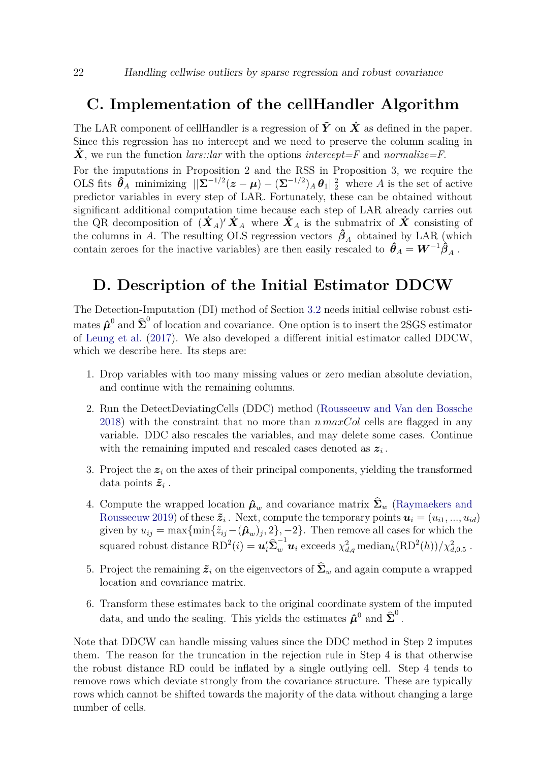### <span id="page-21-0"></span>**C. Implementation of the cellHandler Algorithm**

The LAR component of cellHandler is a regression of  $\tilde{Y}$  on  $\dot{X}$  as defined in the paper. Since this regression has no intercept and we need to preserve the column scaling in  $\dot{\mathbf{X}}$ , we run the function *lars::lar* with the options *intercept=F* and *normalize=F*.

For the imputations in Proposition 2 and the RSS in Proposition 3, we require the OLS fits  $\hat{\theta}_A$  minimizing  $||\Sigma^{-1/2}(z-\mu) - (\Sigma^{-1/2})_A \theta_1||_2^2$  where *A* is the set of active predictor variables in every step of LAR. Fortunately, these can be obtained without significant additional computation time because each step of LAR already carries out the QR decomposition of  $(\dot{X}_A)' \dot{X}_A$  where  $\dot{X}_A$  is the submatrix of  $\dot{X}$  consisting of the columns in *A*. The resulting OLS regression vectors  $\hat{\beta}_A$  obtained by LAR (which contain zeroes for the inactive variables) are then easily rescaled to  $\hat{\theta}_A = W^{-1} \hat{\beta}_A$ .

# <span id="page-21-1"></span>**D. Description of the Initial Estimator DDCW**

The Detection-Imputation (DI) method of Section [3.2](#page-8-2) needs initial cellwise robust estimates  $\hat{\boldsymbol{\mu}}^0$  and  $\hat{\boldsymbol{\Sigma}}^0$  of location and covariance. One option is to insert the 2SGS estimator of [Leung et al.](#page-17-0) [\(2017\)](#page-17-0). We also developed a different initial estimator called DDCW, which we describe here. Its steps are:

- 1. Drop variables with too many missing values or zero median absolute deviation, and continue with the remaining columns.
- 2. Run the DetectDeviatingCells (DDC) method [\(Rousseeuw and Van den Bossche](#page-17-1) [2018\)](#page-17-1) with the constraint that no more than *n maxCol* cells are flagged in any variable. DDC also rescales the variables, and may delete some cases. Continue with the remaining imputed and rescaled cases denoted as *z<sup>i</sup>* .
- 3. Project the  $z_i$  on the axes of their principal components, yielding the transformed data points  $\tilde{z}_i$ .
- 4. Compute the wrapped location  $\hat{\boldsymbol{\mu}}_w$  and covariance matrix  $\boldsymbol{\Sigma}_w$  [\(Raymaekers and](#page-17-10) [Rousseeuw](#page-17-10) [2019\)](#page-17-10) of these  $\tilde{z}_i$ . Next, compute the temporary points  $u_i = (u_{i1}, ..., u_{id})$ given by  $u_{ij} = \max\{\min\{\tilde{z}_{ij} - (\hat{\boldsymbol{\mu}}_w)_j, 2\}, -2\}$ . Then remove all cases for which the  $\text{square} \text{ robust distance } \text{RD}^2(i) = \bm{u}_i' \bm{\hat{\Sigma}}_w^{-1} \bm{u}_i \text{ exceeds } \chi^2_{d,q} \text{ median}_h(\text{RD}^2(h))/\chi^2_{d,0.5}$
- 5. Project the remaining  $\tilde{z}_i$  on the eigenvectors of  $\Sigma_w$  and again compute a wrapped location and covariance matrix.
- 6. Transform these estimates back to the original coordinate system of the imputed data, and undo the scaling. This yields the estimates  $\hat{\boldsymbol{\mu}}^0$  and  $\hat{\boldsymbol{\Sigma}}^0$ .

Note that DDCW can handle missing values since the DDC method in Step 2 imputes them. The reason for the truncation in the rejection rule in Step 4 is that otherwise the robust distance RD could be inflated by a single outlying cell. Step 4 tends to remove rows which deviate strongly from the covariance structure. These are typically rows which cannot be shifted towards the majority of the data without changing a large number of cells.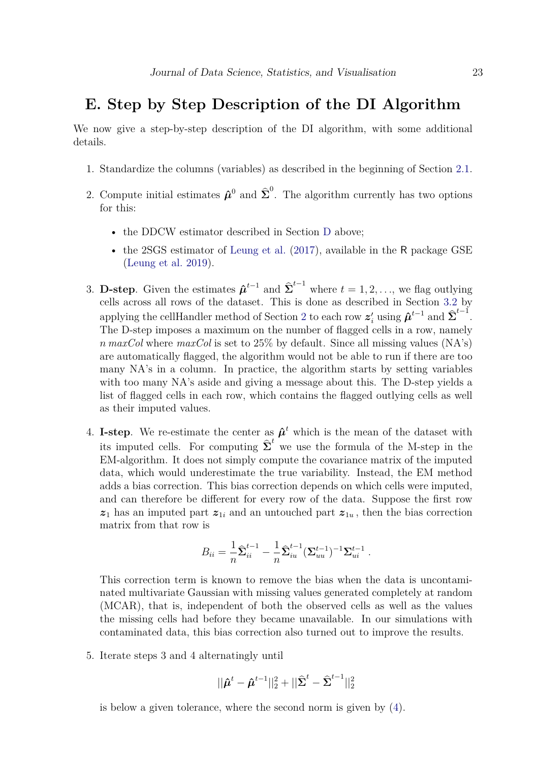# <span id="page-22-0"></span>**E. Step by Step Description of the DI Algorithm**

We now give a step-by-step description of the DI algorithm, with some additional details.

- 1. Standardize the columns (variables) as described in the beginning of Section [2.1.](#page-3-2)
- 2. Compute initial estimates  $\hat{\boldsymbol{\mu}}^0$  and  $\hat{\boldsymbol{\Sigma}}^0$ . The algorithm currently has two options for this:
	- the [D](#page-21-1)DCW estimator described in Section D above;
	- the 2SGS estimator of [Leung et al.](#page-17-0) [\(2017\)](#page-17-0), available in the R package GSE [\(Leung et al.](#page-16-9) [2019\)](#page-16-9).
- 3. **D-step**. Given the estimates  $\hat{\boldsymbol{\mu}}^{t-1}$  and  $\hat{\boldsymbol{\Sigma}}^{t-1}$  where  $t = 1, 2, \ldots$ , we flag outlying cells across all rows of the dataset. This is done as described in Section [3.2](#page-8-2) by applying the cellHandler method of Section [2](#page-2-1) to each row  $z'_i$  using  $\hat{\mu}^{t-1}$  and  $\hat{\Sigma}^{t-1}$ . The D-step imposes a maximum on the number of flagged cells in a row, namely *n maxCol* where *maxCol* is set to 25% by default. Since all missing values (NA's) are automatically flagged, the algorithm would not be able to run if there are too many NA's in a column. In practice, the algorithm starts by setting variables with too many NA's aside and giving a message about this. The D-step yields a list of flagged cells in each row, which contains the flagged outlying cells as well as their imputed values.
- 4. **I-step**. We re-estimate the center as  $\hat{\boldsymbol{\mu}}^t$  which is the mean of the dataset with its imputed cells. For computing  $\hat{\Sigma}^t$  we use the formula of the M-step in the EM-algorithm. It does not simply compute the covariance matrix of the imputed data, which would underestimate the true variability. Instead, the EM method adds a bias correction. This bias correction depends on which cells were imputed, and can therefore be different for every row of the data. Suppose the first row  $z_1$  has an imputed part  $z_{1i}$  and an untouched part  $z_{1u}$ , then the bias correction matrix from that row is

$$
B_{ii} = \frac{1}{n} \hat{\Sigma}_{ii}^{t-1} - \frac{1}{n} \hat{\Sigma}_{iu}^{t-1} (\Sigma_{uu}^{t-1})^{-1} \Sigma_{ui}^{t-1}.
$$

This correction term is known to remove the bias when the data is uncontaminated multivariate Gaussian with missing values generated completely at random (MCAR), that is, independent of both the observed cells as well as the values the missing cells had before they became unavailable. In our simulations with contaminated data, this bias correction also turned out to improve the results.

5. Iterate steps 3 and 4 alternatingly until

$$
||\hat{\bm{\mu}}^{t} - \hat{\bm{\mu}}^{t-1}||_2^2 + ||\hat{\bm{\Sigma}}^{t} - \hat{\bm{\Sigma}}^{t-1}||_2^2
$$

is below a given tolerance, where the second norm is given by [\(4\)](#page-10-1).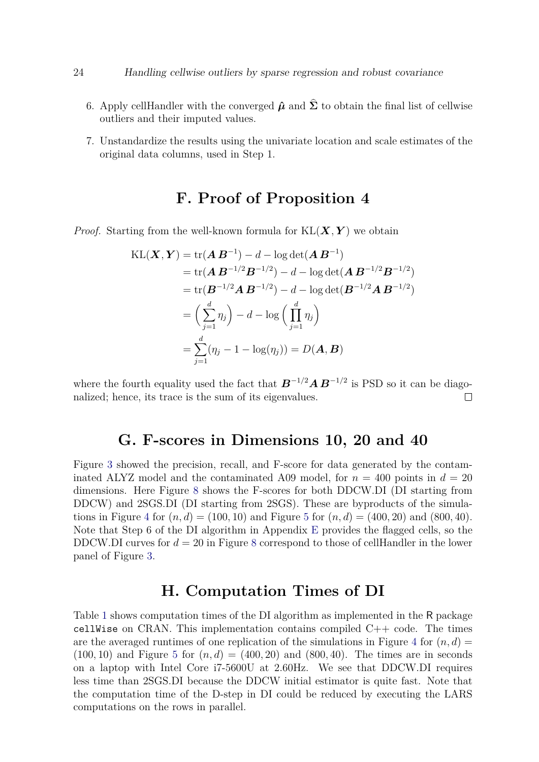#### 24 Handling cellwise outliers by sparse regression and robust covariance

- 6. Apply cellHandler with the converged  $\hat{\mu}$  and  $\hat{\Sigma}$  to obtain the final list of cellwise outliers and their imputed values.
- 7. Unstandardize the results using the univariate location and scale estimates of the original data columns, used in Step 1.

# **F. Proof of Proposition 4**

<span id="page-23-0"></span>*Proof.* Starting from the well-known formula for  $KL(X, Y)$  we obtain

$$
KL(\boldsymbol{X}, \boldsymbol{Y}) = tr(\boldsymbol{A} \boldsymbol{B}^{-1}) - d - \log det(\boldsymbol{A} \boldsymbol{B}^{-1})
$$
  
= tr(\boldsymbol{A} \boldsymbol{B}^{-1/2} \boldsymbol{B}^{-1/2}) - d - \log det(\boldsymbol{A} \boldsymbol{B}^{-1/2} \boldsymbol{B}^{-1/2})  
= tr(\boldsymbol{B}^{-1/2} \boldsymbol{A} \boldsymbol{B}^{-1/2}) - d - \log det(\boldsymbol{B}^{-1/2} \boldsymbol{A} \boldsymbol{B}^{-1/2})  
= \left(\sum\_{j=1}^{d} \eta\_j\right) - d - \log \left(\prod\_{j=1}^{d} \eta\_j\right)  
= \sum\_{j=1}^{d} (\eta\_j - 1 - \log(\eta\_j)) = D(\boldsymbol{A}, \boldsymbol{B})

where the fourth equality used the fact that *B*<sup>−</sup>1*/*<sup>2</sup>*A B*<sup>−</sup>1*/*<sup>2</sup> is PSD so it can be diagonalized; hence, its trace is the sum of its eigenvalues.  $\Box$ 

### **G. F-scores in Dimensions 10, 20 and 40**

Figure [3](#page-7-0) showed the precision, recall, and F-score for data generated by the contaminated ALYZ model and the contaminated A09 model, for  $n = 400$  points in  $d = 20$ dimensions. Here Figure [8](#page-24-0) shows the F-scores for both DDCW.DI (DI starting from DDCW) and 2SGS.DI (DI starting from 2SGS). These are byproducts of the simula-tions in Figure [4](#page-11-1) for  $(n, d) = (100, 10)$  and Figure [5](#page-12-0) for  $(n, d) = (400, 20)$  and  $(800, 40)$ . Note that Step 6 of the DI algorithm in Appendix [E](#page-22-0) provides the flagged cells, so the DDCW.DI curves for  $d = 20$  in Figure [8](#page-24-0) correspond to those of cellHandler in the lower panel of Figure [3.](#page-7-0)

## **H. Computation Times of DI**

Table [1](#page-24-1) shows computation times of the DI algorithm as implemented in the R package cellWise on CRAN. This implementation contains compiled  $C++$  code. The times are the averaged runtimes of one replication of the simulations in Figure [4](#page-11-1) for  $(n, d)$  $(100, 10)$  and Figure [5](#page-12-0) for  $(n, d) = (400, 20)$  and  $(800, 40)$ . The times are in seconds on a laptop with Intel Core i7-5600U at 2.60Hz. We see that DDCW.DI requires less time than 2SGS.DI because the DDCW initial estimator is quite fast. Note that the computation time of the D-step in DI could be reduced by executing the LARS computations on the rows in parallel.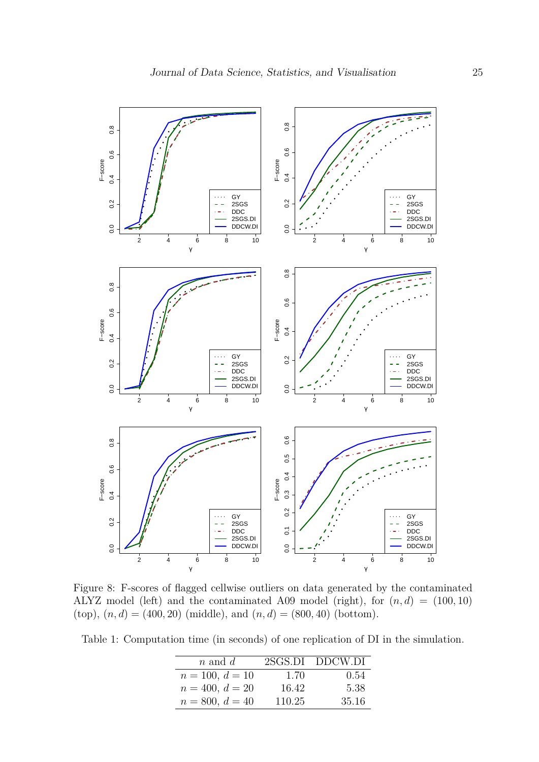<span id="page-24-0"></span>

Figure 8: F-scores of flagged cellwise outliers on data generated by the contaminated ALYZ model (left) and the contaminated A09 model (right), for  $(n, d) = (100, 10)$  $(top)$ ,  $(n, d) = (400, 20)$  (middle), and  $(n, d) = (800, 40)$  (bottom).

<span id="page-24-1"></span>Table 1: Computation time (in seconds) of one replication of DI in the simulation.

| $n$ and $d$       |        | 2SGS.DI DDCW.DI |
|-------------------|--------|-----------------|
| $n = 100, d = 10$ | 1.70   | 0.54            |
| $n = 400, d = 20$ | 16.42  | 5.38            |
| $n = 800, d = 40$ | 110.25 | 35.16           |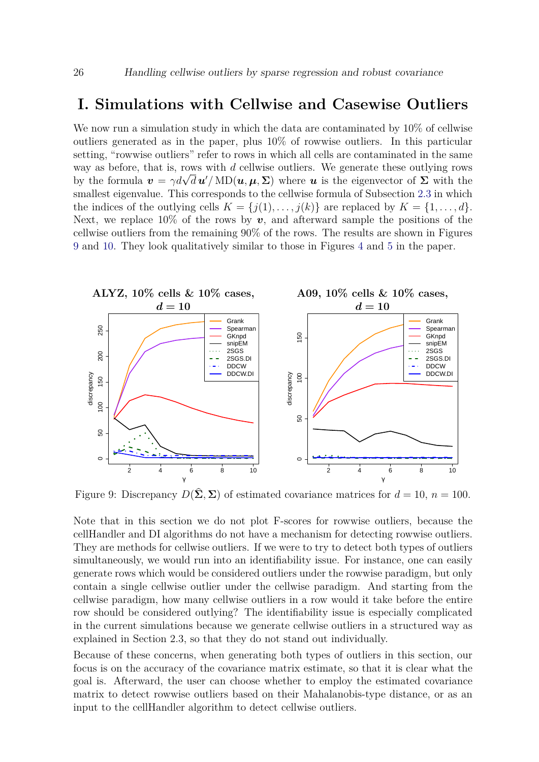### <span id="page-25-0"></span>**I. Simulations with Cellwise and Casewise Outliers**

We now run a simulation study in which the data are contaminated by  $10\%$  of cellwise outliers generated as in the paper, plus 10% of rowwise outliers. In this particular setting, "rowwise outliers" refer to rows in which all cells are contaminated in the same way as before, that is, rows with *d* cellwise outliers. We generate these outlying rows way as before, that is, rows with *a* cellwise outliers. We generate these outlying rows<br>by the formula  $\mathbf{v} = \gamma d\sqrt{d} \mathbf{u}' / M \mathbf{D}(\mathbf{u}, \boldsymbol{\mu}, \boldsymbol{\Sigma})$  where  $\mathbf{u}$  is the eigenvector of  $\boldsymbol{\Sigma}$  with the smallest eigenvalue. This corresponds to the cellwise formula of Subsection [2.3](#page-5-1) in which the indices of the outlying cells  $K = \{j(1), \ldots, j(k)\}\$ are replaced by  $K = \{1, \ldots, d\}.$ Next, we replace  $10\%$  of the rows by  $v$ , and afterward sample the positions of the cellwise outliers from the remaining 90% of the rows. The results are shown in Figures [9](#page-25-1) and [10.](#page-26-1) They look qualitatively similar to those in Figures [4](#page-11-1) and [5](#page-12-0) in the paper.

<span id="page-25-1"></span>

Figure 9: Discrepancy  $D(\hat{\Sigma}, \Sigma)$  of estimated covariance matrices for  $d = 10$ ,  $n = 100$ .

Note that in this section we do not plot F-scores for rowwise outliers, because the cellHandler and DI algorithms do not have a mechanism for detecting rowwise outliers. They are methods for cellwise outliers. If we were to try to detect both types of outliers simultaneously, we would run into an identifiability issue. For instance, one can easily generate rows which would be considered outliers under the rowwise paradigm, but only contain a single cellwise outlier under the cellwise paradigm. And starting from the cellwise paradigm, how many cellwise outliers in a row would it take before the entire row should be considered outlying? The identifiability issue is especially complicated in the current simulations because we generate cellwise outliers in a structured way as explained in Section 2.3, so that they do not stand out individually.

Because of these concerns, when generating both types of outliers in this section, our focus is on the accuracy of the covariance matrix estimate, so that it is clear what the goal is. Afterward, the user can choose whether to employ the estimated covariance matrix to detect rowwise outliers based on their Mahalanobis-type distance, or as an input to the cellHandler algorithm to detect cellwise outliers.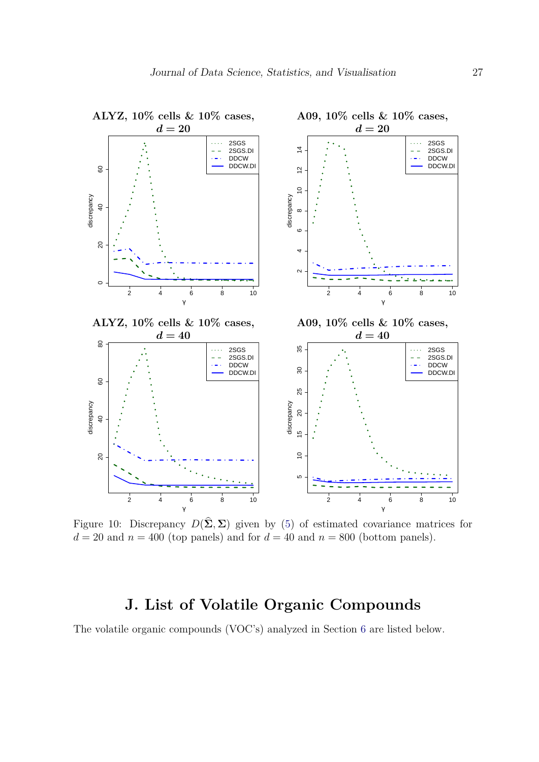<span id="page-26-1"></span>

Figure 10: Discrepancy  $D(\hat{\Sigma}, \Sigma)$  given by [\(5\)](#page-10-0) of estimated covariance matrices for  $d = 20$  and  $n = 400$  (top panels) and for  $d = 40$  and  $n = 800$  (bottom panels).

# **J. List of Volatile Organic Compounds**

<span id="page-26-0"></span>The volatile organic compounds (VOC's) analyzed in Section [6](#page-13-0) are listed below.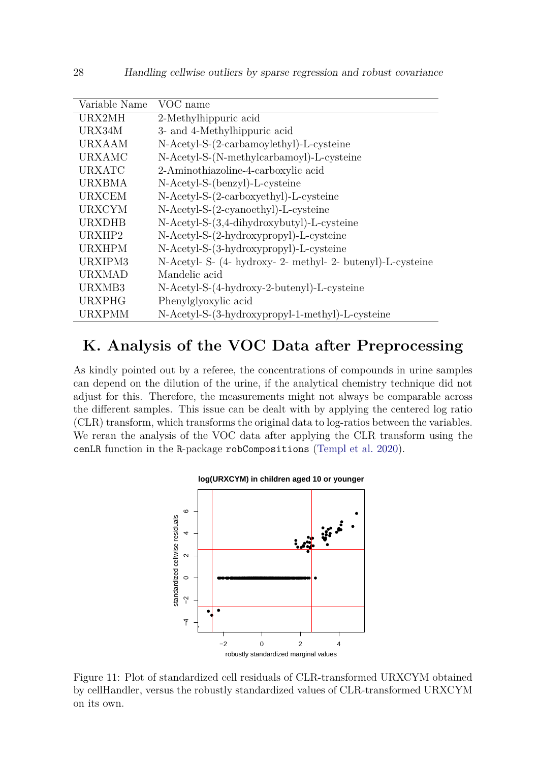| Variable Name | VOC name                                                    |
|---------------|-------------------------------------------------------------|
| URX2MH        | 2-Methylhippuric acid                                       |
| URX34M        | 3- and 4-Methylhippuric acid                                |
| <b>URXAAM</b> | N-Acetyl-S-(2-carbamoylethyl)-L-cysteine                    |
| <b>URXAMC</b> | N-Acetyl-S-(N-methylcarbamoyl)-L-cysteine                   |
| <b>URXATC</b> | 2-Aminothiazoline-4-carboxylic acid                         |
| <b>URXBMA</b> | N-Acetyl-S-(benzyl)-L-cysteine                              |
| <b>URXCEM</b> | N-Acetyl-S-(2-carboxyethyl)-L-cysteine                      |
| <b>URXCYM</b> | $N$ -Acetyl-S- $(2$ -cyanoethyl)-L-cysteine                 |
| <b>URXDHB</b> | $N$ -Acetyl-S- $(3,4$ -dihydroxybutyl)-L-cysteine           |
| URXHP2        | N-Acetyl-S-(2-hydroxypropyl)-L-cysteine                     |
| <b>URXHPM</b> | N-Acetyl-S-(3-hydroxypropyl)-L-cysteine                     |
| URXIPM3       | N-Acetyl- S- (4- hydroxy- 2- methyl- 2- butenyl)-L-cysteine |
| <b>URXMAD</b> | Mandelic acid                                               |
| URXMB3        | N-Acetyl-S-(4-hydroxy-2-butenyl)-L-cysteine                 |
| <b>URXPHG</b> | Phenylglyoxylic acid                                        |
| <b>URXPMM</b> | N-Acetyl-S-(3-hydroxypropyl-1-methyl)-L-cysteine            |

# **K. Analysis of the VOC Data after Preprocessing**

As kindly pointed out by a referee, the concentrations of compounds in urine samples can depend on the dilution of the urine, if the analytical chemistry technique did not adjust for this. Therefore, the measurements might not always be comparable across the different samples. This issue can be dealt with by applying the centered log ratio (CLR) transform, which transforms the original data to log-ratios between the variables. We reran the analysis of the VOC data after applying the CLR transform using the cenLR function in the R-package robCompositions [\(Templ et al.](#page-17-13) [2020\)](#page-17-13).

<span id="page-27-0"></span>

Figure 11: Plot of standardized cell residuals of CLR-transformed URXCYM obtained by cellHandler, versus the robustly standardized values of CLR-transformed URXCYM on its own.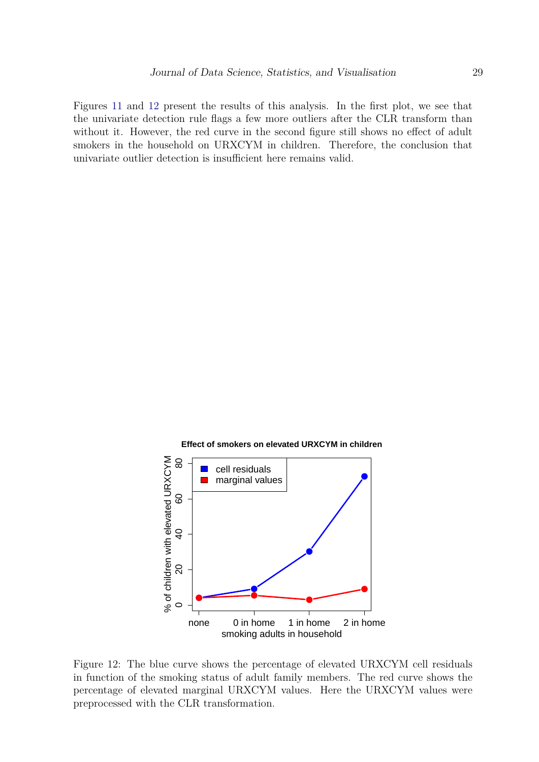Figures [11](#page-27-0) and [12](#page-28-0) present the results of this analysis. In the first plot, we see that the univariate detection rule flags a few more outliers after the CLR transform than without it. However, the red curve in the second figure still shows no effect of adult smokers in the household on URXCYM in children. Therefore, the conclusion that univariate outlier detection is insufficient here remains valid.

<span id="page-28-0"></span>

Figure 12: The blue curve shows the percentage of elevated URXCYM cell residuals in function of the smoking status of adult family members. The red curve shows the percentage of elevated marginal URXCYM values. Here the URXCYM values were preprocessed with the CLR transformation.